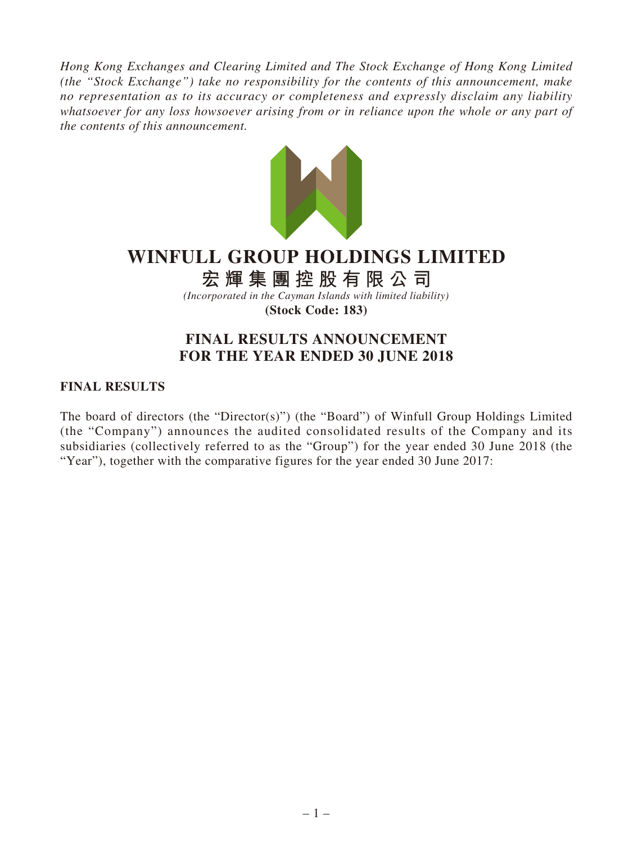*Hong Kong Exchanges and Clearing Limited and The Stock Exchange of Hong Kong Limited (the "Stock Exchange") take no responsibility for the contents of this announcement, make no representation as to its accuracy or completeness and expressly disclaim any liability whatsoever for any loss howsoever arising from or in reliance upon the whole or any part of the contents of this announcement.*



# **WINFULL GROUP HOLDINGS LIMITED**

**宏輝集團控股有限公司**

*(Incorporated in the Cayman Islands with limited liability)* **(Stock Code: 183)**

## **FINAL RESULTS ANNOUNCEMENT FOR THE YEAR ENDED 30 JUNE 2018**

### **FINAL RESULTS**

The board of directors (the "Director(s)") (the "Board") of Winfull Group Holdings Limited (the "Company") announces the audited consolidated results of the Company and its subsidiaries (collectively referred to as the "Group") for the year ended 30 June 2018 (the "Year"), together with the comparative figures for the year ended 30 June 2017: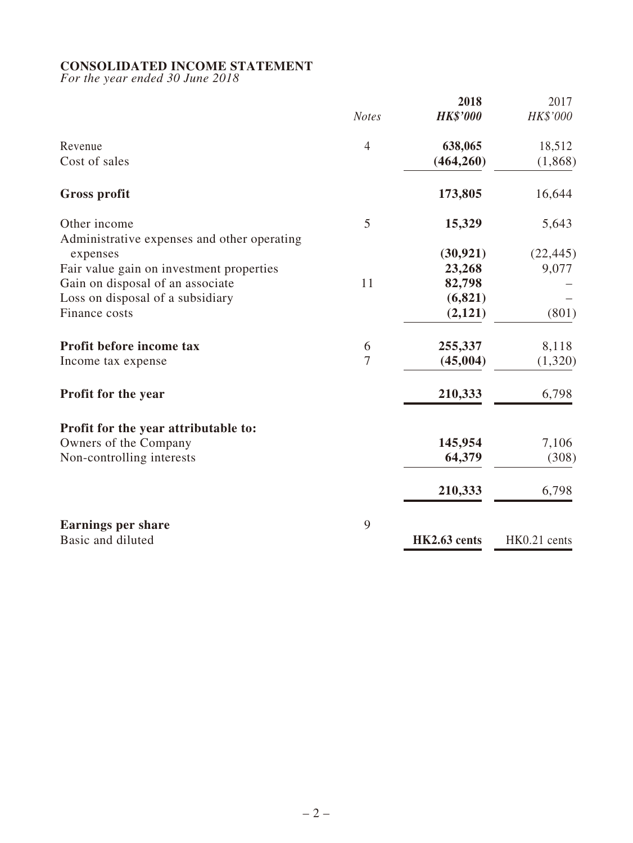### **CONSOLIDATED INCOME STATEMENT**

*For the year ended 30 June 2018*

|                                             |                | 2018            | 2017         |
|---------------------------------------------|----------------|-----------------|--------------|
|                                             | <b>Notes</b>   | <b>HK\$'000</b> | HK\$'000     |
| Revenue                                     | $\overline{4}$ | 638,065         | 18,512       |
| Cost of sales                               |                | (464, 260)      | (1,868)      |
| <b>Gross profit</b>                         |                | 173,805         | 16,644       |
| Other income                                | 5              | 15,329          | 5,643        |
| Administrative expenses and other operating |                |                 |              |
| expenses                                    |                | (30, 921)       | (22, 445)    |
| Fair value gain on investment properties    |                | 23,268          | 9,077        |
| Gain on disposal of an associate            | 11             | 82,798          |              |
| Loss on disposal of a subsidiary            |                | (6, 821)        |              |
| Finance costs                               |                | (2,121)         | (801)        |
| Profit before income tax                    | 6              | 255,337         | 8,118        |
| Income tax expense                          | $\tau$         | (45,004)        | (1,320)      |
| <b>Profit for the year</b>                  |                | 210,333         | 6,798        |
| Profit for the year attributable to:        |                |                 |              |
| Owners of the Company                       |                | 145,954         | 7,106        |
| Non-controlling interests                   |                | 64,379          | (308)        |
|                                             |                | 210,333         | 6,798        |
| <b>Earnings per share</b>                   | 9              |                 |              |
| Basic and diluted                           |                | HK2.63 cents    | HK0.21 cents |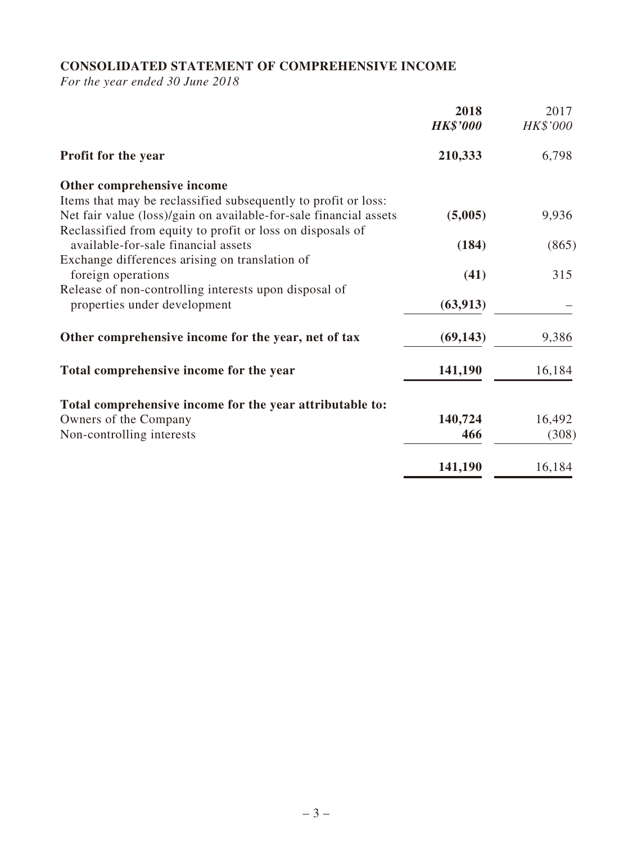## **CONSOLIDATED STATEMENT OF COMPREHENSIVE INCOME**

*For the year ended 30 June 2018*

|                                                                   | 2018<br><b>HK\$'000</b> | 2017<br>HK\$'000 |
|-------------------------------------------------------------------|-------------------------|------------------|
| Profit for the year                                               | 210,333                 | 6,798            |
| Other comprehensive income                                        |                         |                  |
| Items that may be reclassified subsequently to profit or loss:    |                         |                  |
| Net fair value (loss)/gain on available-for-sale financial assets | (5,005)                 | 9,936            |
| Reclassified from equity to profit or loss on disposals of        |                         |                  |
| available-for-sale financial assets                               | (184)                   | (865)            |
| Exchange differences arising on translation of                    |                         |                  |
| foreign operations                                                | (41)                    | 315              |
| Release of non-controlling interests upon disposal of             |                         |                  |
| properties under development                                      | (63, 913)               |                  |
| Other comprehensive income for the year, net of tax               | (69, 143)               | 9,386            |
| Total comprehensive income for the year                           | 141,190                 | 16,184           |
| Total comprehensive income for the year attributable to:          |                         |                  |
| Owners of the Company                                             | 140,724                 | 16,492           |
| Non-controlling interests                                         | 466                     | (308)            |
|                                                                   |                         |                  |
|                                                                   | 141,190                 | 16,184           |
|                                                                   |                         |                  |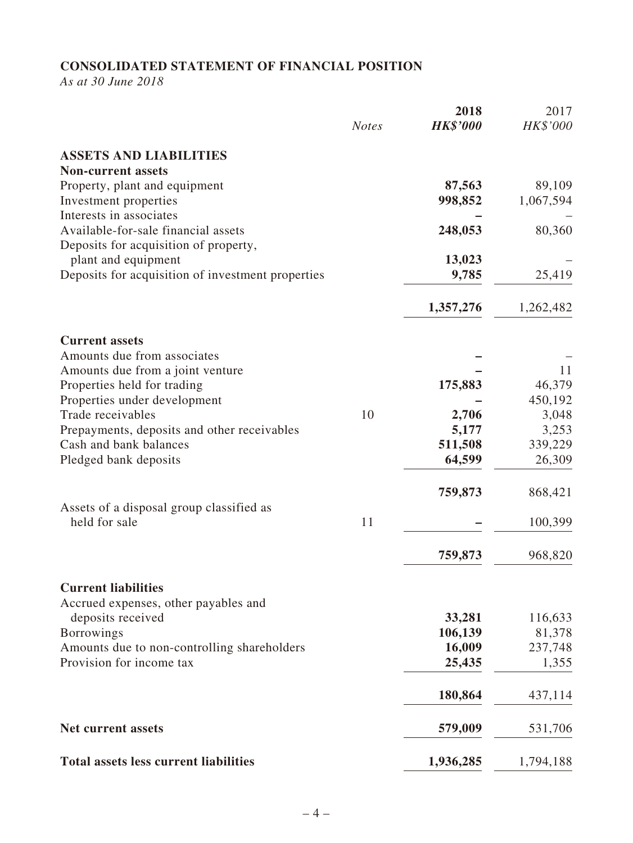## **CONSOLIDATED STATEMENT OF FINANCIAL POSITION**

*As at 30 June 2018*

|                                                                          | <b>Notes</b> | 2018<br><b>HK\$'000</b> | 2017<br>HK\$'000  |
|--------------------------------------------------------------------------|--------------|-------------------------|-------------------|
| <b>ASSETS AND LIABILITIES</b>                                            |              |                         |                   |
| <b>Non-current assets</b>                                                |              |                         |                   |
| Property, plant and equipment                                            |              | 87,563                  | 89,109            |
| Investment properties                                                    |              | 998,852                 | 1,067,594         |
| Interests in associates                                                  |              |                         |                   |
| Available-for-sale financial assets                                      |              | 248,053                 | 80,360            |
| Deposits for acquisition of property,                                    |              | 13,023                  |                   |
| plant and equipment<br>Deposits for acquisition of investment properties |              | 9,785                   | 25,419            |
|                                                                          |              |                         |                   |
|                                                                          |              | 1,357,276               | 1,262,482         |
| <b>Current assets</b>                                                    |              |                         |                   |
| Amounts due from associates                                              |              |                         |                   |
| Amounts due from a joint venture                                         |              |                         | 11                |
| Properties held for trading<br>Properties under development              |              | 175,883                 | 46,379<br>450,192 |
| Trade receivables                                                        | 10           | 2,706                   | 3,048             |
| Prepayments, deposits and other receivables                              |              | 5,177                   | 3,253             |
| Cash and bank balances                                                   |              | 511,508                 | 339,229           |
| Pledged bank deposits                                                    |              | 64,599                  | 26,309            |
|                                                                          |              | 759,873                 | 868,421           |
| Assets of a disposal group classified as<br>held for sale                | 11           |                         | 100,399           |
|                                                                          |              | 759,873                 | 968,820           |
| <b>Current liabilities</b>                                               |              |                         |                   |
| Accrued expenses, other payables and                                     |              |                         | 116,633           |
| deposits received<br><b>Borrowings</b>                                   |              | 33,281<br>106,139       | 81,378            |
| Amounts due to non-controlling shareholders                              |              | 16,009                  | 237,748           |
| Provision for income tax                                                 |              | 25,435                  | 1,355             |
|                                                                          |              | 180,864                 | 437,114           |
| <b>Net current assets</b>                                                |              | 579,009                 | 531,706           |
| <b>Total assets less current liabilities</b>                             |              | 1,936,285               | 1,794,188         |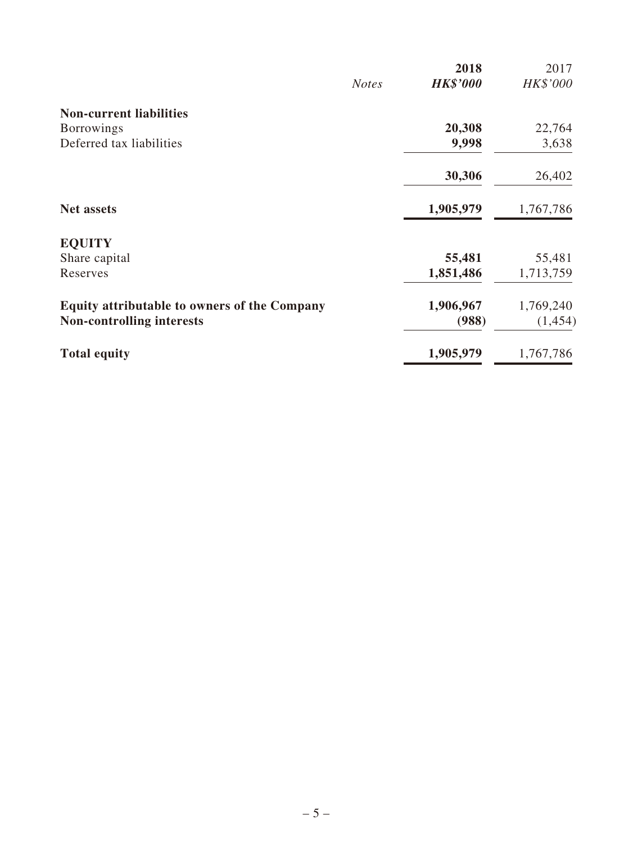|              |                 | 2017      |
|--------------|-----------------|-----------|
| <b>Notes</b> | <b>HK\$'000</b> | HK\$'000  |
|              |                 |           |
|              | 20,308          | 22,764    |
|              | 9,998           | 3,638     |
|              | 30,306          | 26,402    |
|              | 1,905,979       | 1,767,786 |
|              |                 |           |
|              | 55,481          | 55,481    |
|              | 1,851,486       | 1,713,759 |
|              | 1,906,967       | 1,769,240 |
|              | (988)           | (1,454)   |
|              | 1,905,979       | 1,767,786 |
|              |                 | 2018      |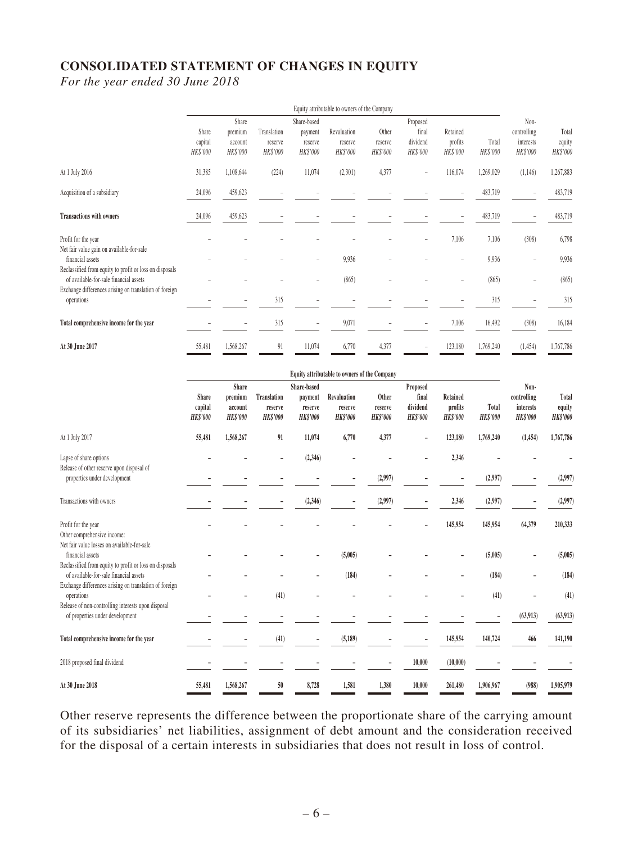## **CONSOLIDATED STATEMENT OF CHANGES IN EQUITY**

*For the year ended 30 June 2018*

|                                                         | Equity attributable to owners of the Company |                          |             |                          |             |          |          |                          |           |             |           |
|---------------------------------------------------------|----------------------------------------------|--------------------------|-------------|--------------------------|-------------|----------|----------|--------------------------|-----------|-------------|-----------|
|                                                         |                                              | Share                    |             | Share-based              |             |          | Proposed |                          |           | Non-        |           |
|                                                         | Share                                        | premium                  | Translation | payment                  | Revaluation | Other    | final    | Retained                 |           | controlling | Total     |
|                                                         | capital                                      | account                  | reserve     | reserve                  | reserve     | reserve  | dividend | profits                  | Total     | interests   | equity    |
|                                                         | HK\$'000                                     | HK\$'000                 | HK\$'000    | HK\$'000                 | HK\$'000    | HK\$'000 | HK\$'000 | HK\$'000                 | HK\$'000  | HK\$'000    | HK\$'000  |
| At 1 July 2016                                          | 31,385                                       | 1,108,644                | (224)       | 11,074                   | (2,301)     | 4,377    |          | 116,074                  | 1,269,029 | (1,146)     | 1,267,883 |
| Acquisition of a subsidiary                             | 24,096                                       | 459,623                  |             |                          |             |          |          |                          | 483,719   |             | 483,719   |
|                                                         |                                              |                          |             |                          |             |          |          |                          |           |             |           |
| <b>Transactions with owners</b>                         | 24,096                                       | 459,623                  |             |                          |             |          |          | $\overline{\phantom{a}}$ | 483,719   |             | 483,719   |
| Profit for the year                                     |                                              |                          |             |                          |             |          |          | 7,106                    | 7,106     | (308)       | 6,798     |
| Net fair value gain on available-for-sale               |                                              |                          |             |                          |             |          |          |                          |           |             |           |
| financial assets                                        |                                              |                          |             | $\overline{\phantom{a}}$ | 9,936       |          |          | $\overline{\phantom{a}}$ | 9,936     |             | 9,936     |
| Reclassified from equity to profit or loss on disposals |                                              |                          |             |                          |             |          |          |                          |           |             |           |
| of available-for-sale financial assets                  |                                              |                          |             |                          | (865)       |          |          |                          | (865)     |             | (865)     |
| Exchange differences arising on translation of foreign  |                                              |                          |             |                          |             |          |          |                          |           |             |           |
| operations                                              |                                              | $\overline{\phantom{a}}$ | 315         |                          |             |          |          |                          | 315       |             | 315       |
| Total comprehensive income for the year                 |                                              |                          | 315         | $\overline{a}$           | 9,071       |          |          | 7,106                    | 16,492    | (308)       | 16,184    |
| At 30 June 2017                                         | 55,481                                       | 1,568,267                | 91          | 11,074                   | 6,770       | 4,377    |          | 123,180                  | 1,769,240 | (1,454)     | 1,767,786 |

|                                                         | <b>Equity attributable to owners of the Company</b> |                 |                    |                 |                 |                 |                 |                 |                 |                 |                 |
|---------------------------------------------------------|-----------------------------------------------------|-----------------|--------------------|-----------------|-----------------|-----------------|-----------------|-----------------|-----------------|-----------------|-----------------|
|                                                         |                                                     | Share           |                    | Share-based     |                 |                 | Proposed        |                 |                 | Non-            |                 |
|                                                         | Share                                               | premium         | <b>Translation</b> | payment         | Revaluation     | Other           | final           | Retained        |                 | controlling     | Total           |
|                                                         | capital                                             | account         | reserve            | reserve         | reserve         | reserve         | dividend        | profits         | Total           | interests       | equity          |
|                                                         | <b>HK\$'000</b>                                     | <b>HK\$'000</b> | <b>HK\$'000</b>    | <b>HK\$'000</b> | <b>HK\$'000</b> | <b>HK\$'000</b> | <b>HK\$'000</b> | <b>HK\$'000</b> | <b>HK\$'000</b> | <b>HK\$'000</b> | <b>HK\$'000</b> |
| At 1 July 2017                                          | 55,481                                              | 1,568,267       | 91                 | 11,074          | 6,770           | 4,377           |                 | 123,180         | 1,769,240       | (1, 454)        | 1,767,786       |
| Lapse of share options                                  |                                                     |                 |                    | (2,346)         |                 |                 |                 | 2,346           |                 |                 |                 |
| Release of other reserve upon disposal of               |                                                     |                 |                    |                 |                 |                 |                 |                 |                 |                 |                 |
| properties under development                            |                                                     |                 |                    |                 |                 | (2,997)         |                 |                 | (2,997)         |                 | (2,997)         |
| Transactions with owners                                |                                                     |                 |                    | (2, 346)        |                 | (2,997)         |                 | 2,346           | (2,997)         |                 | (2,997)         |
|                                                         |                                                     |                 |                    |                 |                 |                 |                 |                 |                 |                 |                 |
| Profit for the year                                     |                                                     |                 |                    |                 |                 |                 |                 | 145,954         | 145,954         | 64,379          | 210,333         |
| Other comprehensive income:                             |                                                     |                 |                    |                 |                 |                 |                 |                 |                 |                 |                 |
| Net fair value losses on available-for-sale             |                                                     |                 |                    |                 |                 |                 |                 |                 |                 |                 |                 |
| financial assets                                        |                                                     |                 |                    |                 | (5,005)         |                 |                 |                 | (5,005)         |                 | (5,005)         |
| Reclassified from equity to profit or loss on disposals |                                                     |                 |                    |                 |                 |                 |                 |                 |                 |                 |                 |
| of available-for-sale financial assets                  |                                                     |                 |                    |                 | (184)           |                 |                 |                 | (184)           |                 | (184)           |
| Exchange differences arising on translation of foreign  |                                                     |                 |                    |                 |                 |                 |                 |                 |                 |                 |                 |
| operations                                              |                                                     |                 | (41)               |                 |                 |                 |                 |                 | (41)            |                 | (41)            |
| Release of non-controlling interests upon disposal      |                                                     |                 |                    |                 |                 |                 |                 |                 |                 |                 |                 |
| of properties under development                         |                                                     |                 |                    |                 |                 |                 |                 |                 |                 | (63, 913)       | (63, 913)       |
| Total comprehensive income for the year                 |                                                     |                 | (41)               |                 | (5, 189)        |                 |                 | 145,954         | 140,724         | 466             | 141,190         |
| 2018 proposed final dividend                            |                                                     |                 |                    |                 |                 |                 | 10,000          | (10,000)        |                 |                 |                 |
| At 30 June 2018                                         | 55,481                                              | 1,568,267       | 50                 | 8,728           | 1,581           | 1,380           | 10,000          | 261,480         | 1,906,967       | (988)           | 1,905,979       |

Other reserve represents the difference between the proportionate share of the carrying amount of its subsidiaries' net liabilities, assignment of debt amount and the consideration received for the disposal of a certain interests in subsidiaries that does not result in loss of control.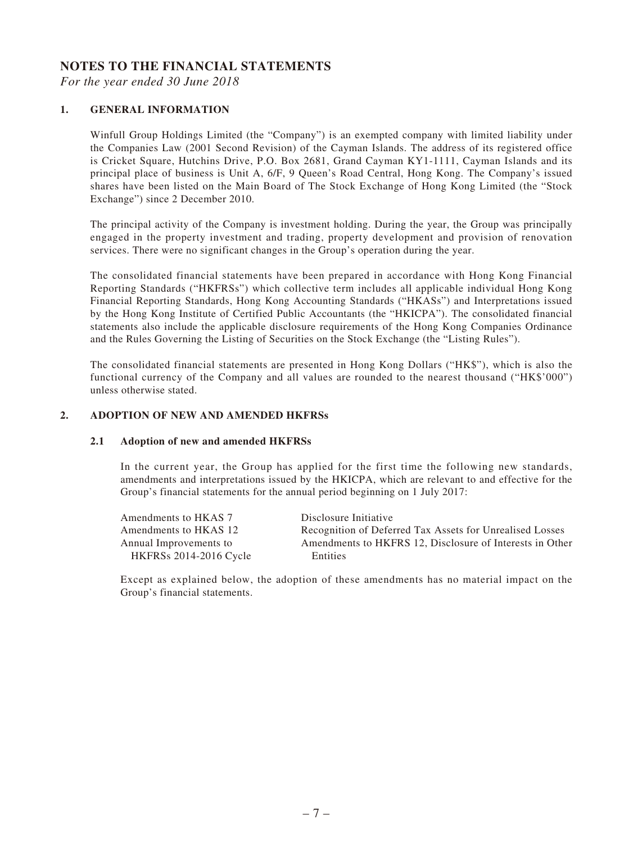#### **NOTES TO THE FINANCIAL STATEMENTS**

*For the year ended 30 June 2018*

#### **1. GENERAL INFORMATION**

Winfull Group Holdings Limited (the "Company") is an exempted company with limited liability under the Companies Law (2001 Second Revision) of the Cayman Islands. The address of its registered office is Cricket Square, Hutchins Drive, P.O. Box 2681, Grand Cayman KY1-1111, Cayman Islands and its principal place of business is Unit A, 6/F, 9 Queen's Road Central, Hong Kong. The Company's issued shares have been listed on the Main Board of The Stock Exchange of Hong Kong Limited (the "Stock Exchange") since 2 December 2010.

The principal activity of the Company is investment holding. During the year, the Group was principally engaged in the property investment and trading, property development and provision of renovation services. There were no significant changes in the Group's operation during the year.

The consolidated financial statements have been prepared in accordance with Hong Kong Financial Reporting Standards ("HKFRSs") which collective term includes all applicable individual Hong Kong Financial Reporting Standards, Hong Kong Accounting Standards ("HKASs") and Interpretations issued by the Hong Kong Institute of Certified Public Accountants (the "HKICPA"). The consolidated financial statements also include the applicable disclosure requirements of the Hong Kong Companies Ordinance and the Rules Governing the Listing of Securities on the Stock Exchange (the "Listing Rules").

The consolidated financial statements are presented in Hong Kong Dollars ("HK\$"), which is also the functional currency of the Company and all values are rounded to the nearest thousand ("HK\$'000") unless otherwise stated.

#### **2. ADOPTION OF NEW AND AMENDED HKFRSs**

#### **2.1 Adoption of new and amended HKFRSs**

In the current year, the Group has applied for the first time the following new standards, amendments and interpretations issued by the HKICPA, which are relevant to and effective for the Group's financial statements for the annual period beginning on 1 July 2017:

| Amendments to HKAS 7          | Disclosure Initiative                                    |
|-------------------------------|----------------------------------------------------------|
| Amendments to HKAS 12         | Recognition of Deferred Tax Assets for Unrealised Losses |
| Annual Improvements to        | Amendments to HKFRS 12, Disclosure of Interests in Other |
| <b>HKFRSs 2014-2016 Cycle</b> | <b>Entities</b>                                          |

Except as explained below, the adoption of these amendments has no material impact on the Group's financial statements.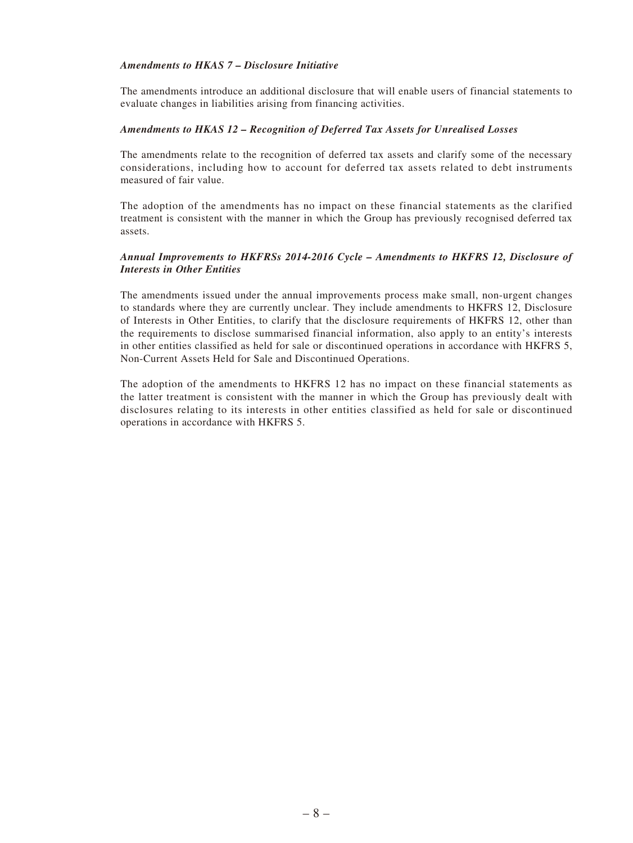#### *Amendments to HKAS 7 – Disclosure Initiative*

The amendments introduce an additional disclosure that will enable users of financial statements to evaluate changes in liabilities arising from financing activities.

#### *Amendments to HKAS 12 – Recognition of Deferred Tax Assets for Unrealised Losses*

The amendments relate to the recognition of deferred tax assets and clarify some of the necessary considerations, including how to account for deferred tax assets related to debt instruments measured of fair value.

The adoption of the amendments has no impact on these financial statements as the clarified treatment is consistent with the manner in which the Group has previously recognised deferred tax assets.

#### *Annual Improvements to HKFRSs 2014-2016 Cycle – Amendments to HKFRS 12, Disclosure of Interests in Other Entities*

The amendments issued under the annual improvements process make small, non-urgent changes to standards where they are currently unclear. They include amendments to HKFRS 12, Disclosure of Interests in Other Entities, to clarify that the disclosure requirements of HKFRS 12, other than the requirements to disclose summarised financial information, also apply to an entity's interests in other entities classified as held for sale or discontinued operations in accordance with HKFRS 5, Non-Current Assets Held for Sale and Discontinued Operations.

The adoption of the amendments to HKFRS 12 has no impact on these financial statements as the latter treatment is consistent with the manner in which the Group has previously dealt with disclosures relating to its interests in other entities classified as held for sale or discontinued operations in accordance with HKFRS 5.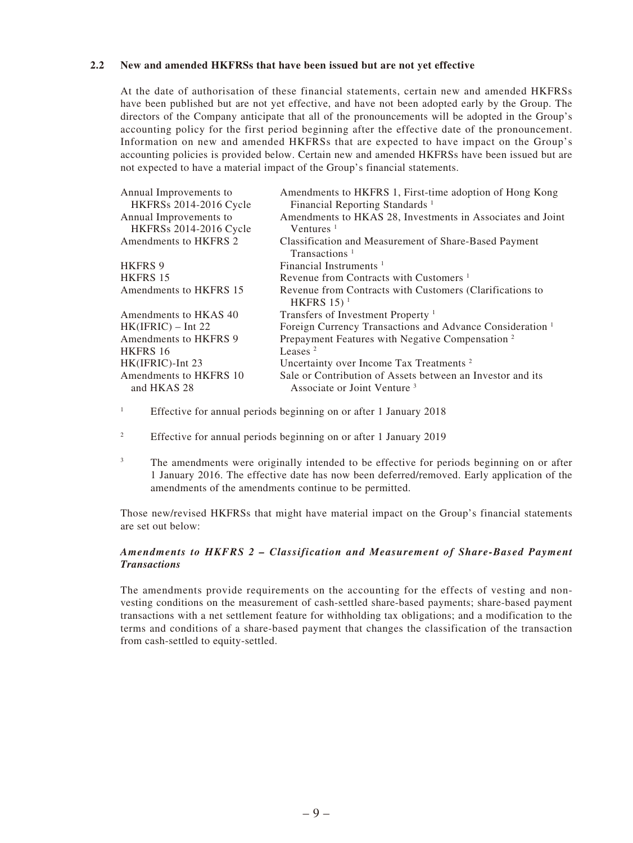#### **2.2 New and amended HKFRSs that have been issued but are not yet effective**

At the date of authorisation of these financial statements, certain new and amended HKFRSs have been published but are not yet effective, and have not been adopted early by the Group. The directors of the Company anticipate that all of the pronouncements will be adopted in the Group's accounting policy for the first period beginning after the effective date of the pronouncement. Information on new and amended HKFRSs that are expected to have impact on the Group's accounting policies is provided below. Certain new and amended HKFRSs have been issued but are not expected to have a material impact of the Group's financial statements.

| Annual Improvements to<br><b>HKFRSs 2014-2016 Cycle</b> | Amendments to HKFRS 1, First-time adoption of Hong Kong<br>Financial Reporting Standards <sup>1</sup> |
|---------------------------------------------------------|-------------------------------------------------------------------------------------------------------|
| Annual Improvements to                                  | Amendments to HKAS 28, Investments in Associates and Joint                                            |
| <b>HKFRSs 2014-2016 Cycle</b>                           | Ventures $1$                                                                                          |
| Amendments to HKFRS 2                                   | Classification and Measurement of Share-Based Payment<br>Transactions <sup>1</sup>                    |
| <b>HKFRS 9</b>                                          | Financial Instruments <sup><math>1</math></sup>                                                       |
| <b>HKFRS 15</b>                                         | Revenue from Contracts with Customers <sup>1</sup>                                                    |
| Amendments to HKFRS 15                                  | Revenue from Contracts with Customers (Clarifications to<br>HKFRS $15$ <sup>1</sup>                   |
| Amendments to HKAS 40                                   | Transfers of Investment Property <sup>1</sup>                                                         |
| $HK(IFRIC) - Int 22$                                    | Foreign Currency Transactions and Advance Consideration <sup>1</sup>                                  |
| Amendments to HKFRS 9                                   | Prepayment Features with Negative Compensation <sup>2</sup>                                           |
| HKFRS 16                                                | Leases $2$                                                                                            |
| HK(IFRIC)-Int 23                                        | Uncertainty over Income Tax Treatments <sup>2</sup>                                                   |
| Amendments to HKFRS 10<br>and HKAS 28                   | Sale or Contribution of Assets between an Investor and its<br>Associate or Joint Venture <sup>3</sup> |

1 Effective for annual periods beginning on or after 1 January 2018

- 2 Effective for annual periods beginning on or after 1 January 2019
- 3 The amendments were originally intended to be effective for periods beginning on or after 1 January 2016. The effective date has now been deferred/removed. Early application of the amendments of the amendments continue to be permitted.

Those new/revised HKFRSs that might have material impact on the Group's financial statements are set out below:

#### *Amendments to HKFRS 2 – Classification and Measurement of Share-Based Payment Transactions*

The amendments provide requirements on the accounting for the effects of vesting and nonvesting conditions on the measurement of cash-settled share-based payments; share-based payment transactions with a net settlement feature for withholding tax obligations; and a modification to the terms and conditions of a share-based payment that changes the classification of the transaction from cash-settled to equity-settled.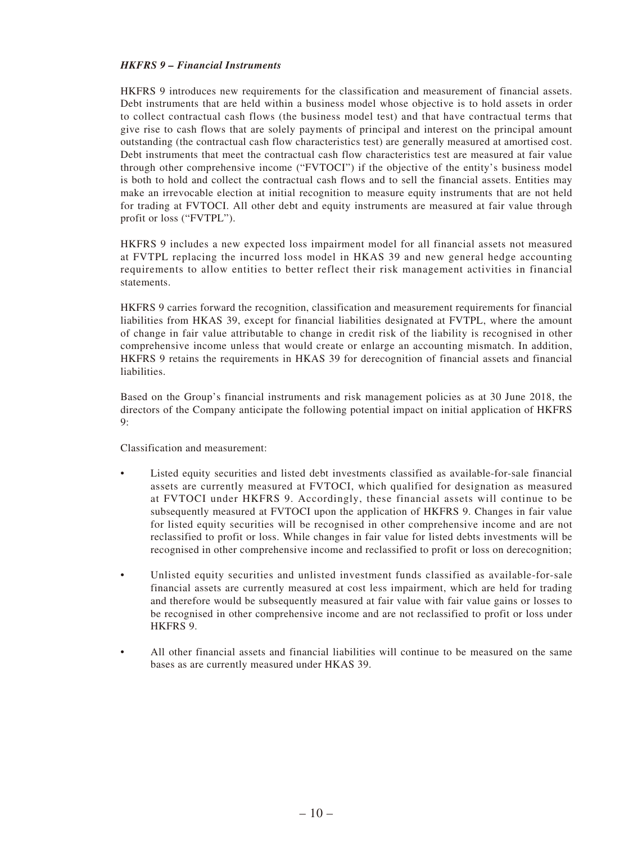#### *HKFRS 9 – Financial Instruments*

HKFRS 9 introduces new requirements for the classification and measurement of financial assets. Debt instruments that are held within a business model whose objective is to hold assets in order to collect contractual cash flows (the business model test) and that have contractual terms that give rise to cash flows that are solely payments of principal and interest on the principal amount outstanding (the contractual cash flow characteristics test) are generally measured at amortised cost. Debt instruments that meet the contractual cash flow characteristics test are measured at fair value through other comprehensive income ("FVTOCI") if the objective of the entity's business model is both to hold and collect the contractual cash flows and to sell the financial assets. Entities may make an irrevocable election at initial recognition to measure equity instruments that are not held for trading at FVTOCI. All other debt and equity instruments are measured at fair value through profit or loss ("FVTPL").

HKFRS 9 includes a new expected loss impairment model for all financial assets not measured at FVTPL replacing the incurred loss model in HKAS 39 and new general hedge accounting requirements to allow entities to better reflect their risk management activities in financial statements.

HKFRS 9 carries forward the recognition, classification and measurement requirements for financial liabilities from HKAS 39, except for financial liabilities designated at FVTPL, where the amount of change in fair value attributable to change in credit risk of the liability is recognised in other comprehensive income unless that would create or enlarge an accounting mismatch. In addition, HKFRS 9 retains the requirements in HKAS 39 for derecognition of financial assets and financial liabilities.

Based on the Group's financial instruments and risk management policies as at 30 June 2018, the directors of the Company anticipate the following potential impact on initial application of HKFRS  $Q$ .

Classification and measurement:

- Listed equity securities and listed debt investments classified as available-for-sale financial assets are currently measured at FVTOCI, which qualified for designation as measured at FVTOCI under HKFRS 9. Accordingly, these financial assets will continue to be subsequently measured at FVTOCI upon the application of HKFRS 9. Changes in fair value for listed equity securities will be recognised in other comprehensive income and are not reclassified to profit or loss. While changes in fair value for listed debts investments will be recognised in other comprehensive income and reclassified to profit or loss on derecognition;
- Unlisted equity securities and unlisted investment funds classified as available-for-sale financial assets are currently measured at cost less impairment, which are held for trading and therefore would be subsequently measured at fair value with fair value gains or losses to be recognised in other comprehensive income and are not reclassified to profit or loss under HKFRS 9.
- All other financial assets and financial liabilities will continue to be measured on the same bases as are currently measured under HKAS 39.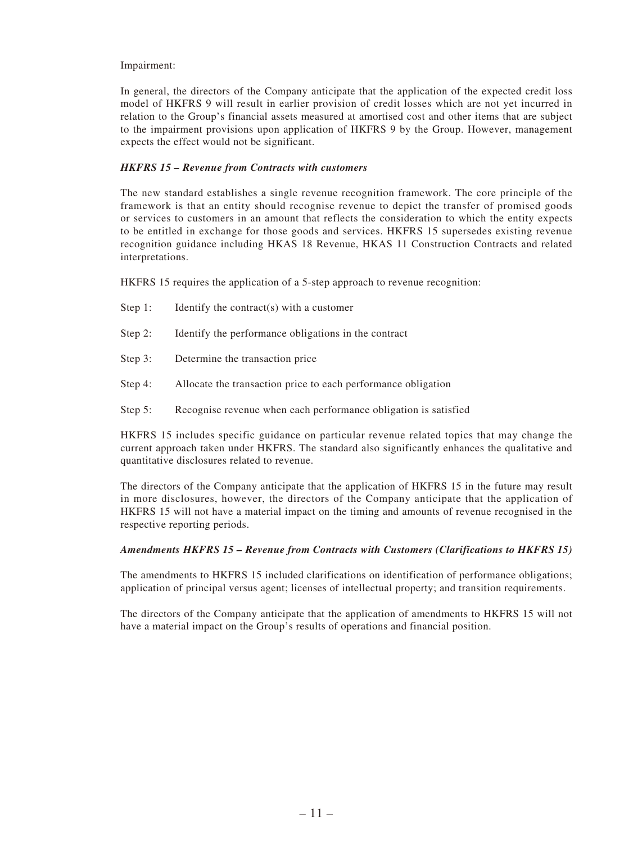#### Impairment:

In general, the directors of the Company anticipate that the application of the expected credit loss model of HKFRS 9 will result in earlier provision of credit losses which are not yet incurred in relation to the Group's financial assets measured at amortised cost and other items that are subject to the impairment provisions upon application of HKFRS 9 by the Group. However, management expects the effect would not be significant.

#### *HKFRS 15 – Revenue from Contracts with customers*

The new standard establishes a single revenue recognition framework. The core principle of the framework is that an entity should recognise revenue to depict the transfer of promised goods or services to customers in an amount that reflects the consideration to which the entity expects to be entitled in exchange for those goods and services. HKFRS 15 supersedes existing revenue recognition guidance including HKAS 18 Revenue, HKAS 11 Construction Contracts and related interpretations.

HKFRS 15 requires the application of a 5-step approach to revenue recognition:

- Step 1: Identify the contract(s) with a customer
- Step 2: Identify the performance obligations in the contract
- Step 3: Determine the transaction price
- Step 4: Allocate the transaction price to each performance obligation
- Step 5: Recognise revenue when each performance obligation is satisfied

HKFRS 15 includes specific guidance on particular revenue related topics that may change the current approach taken under HKFRS. The standard also significantly enhances the qualitative and quantitative disclosures related to revenue.

The directors of the Company anticipate that the application of HKFRS 15 in the future may result in more disclosures, however, the directors of the Company anticipate that the application of HKFRS 15 will not have a material impact on the timing and amounts of revenue recognised in the respective reporting periods.

#### *Amendments HKFRS 15 – Revenue from Contracts with Customers (Clarifications to HKFRS 15)*

The amendments to HKFRS 15 included clarifications on identification of performance obligations; application of principal versus agent; licenses of intellectual property; and transition requirements.

The directors of the Company anticipate that the application of amendments to HKFRS 15 will not have a material impact on the Group's results of operations and financial position.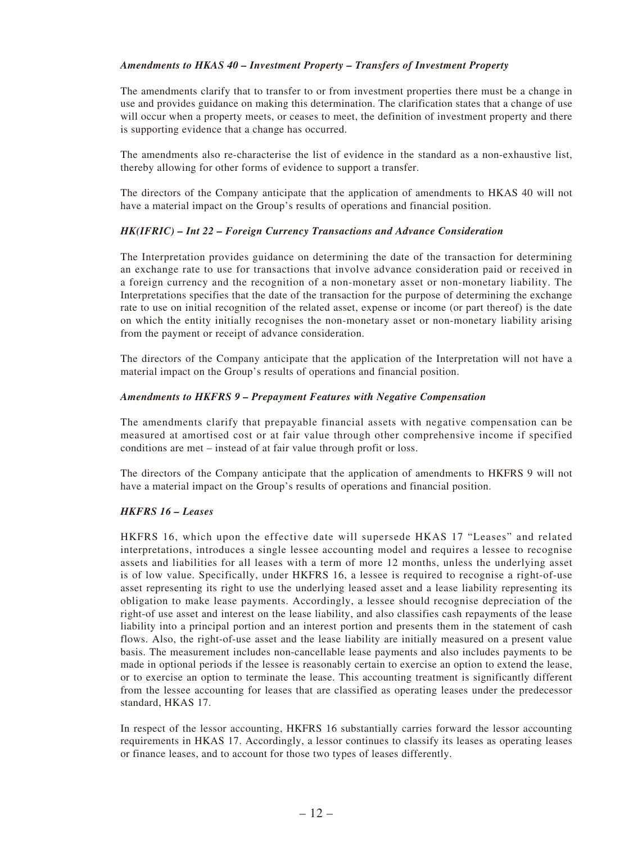#### *Amendments to HKAS 40 – Investment Property – Transfers of Investment Property*

The amendments clarify that to transfer to or from investment properties there must be a change in use and provides guidance on making this determination. The clarification states that a change of use will occur when a property meets, or ceases to meet, the definition of investment property and there is supporting evidence that a change has occurred.

The amendments also re-characterise the list of evidence in the standard as a non-exhaustive list, thereby allowing for other forms of evidence to support a transfer.

The directors of the Company anticipate that the application of amendments to HKAS 40 will not have a material impact on the Group's results of operations and financial position.

#### *HK(IFRIC) – Int 22 – Foreign Currency Transactions and Advance Consideration*

The Interpretation provides guidance on determining the date of the transaction for determining an exchange rate to use for transactions that involve advance consideration paid or received in a foreign currency and the recognition of a non-monetary asset or non-monetary liability. The Interpretations specifies that the date of the transaction for the purpose of determining the exchange rate to use on initial recognition of the related asset, expense or income (or part thereof) is the date on which the entity initially recognises the non-monetary asset or non-monetary liability arising from the payment or receipt of advance consideration.

The directors of the Company anticipate that the application of the Interpretation will not have a material impact on the Group's results of operations and financial position.

#### *Amendments to HKFRS 9 – Prepayment Features with Negative Compensation*

The amendments clarify that prepayable financial assets with negative compensation can be measured at amortised cost or at fair value through other comprehensive income if specified conditions are met – instead of at fair value through profit or loss.

The directors of the Company anticipate that the application of amendments to HKFRS 9 will not have a material impact on the Group's results of operations and financial position.

#### *HKFRS 16 – Leases*

HKFRS 16, which upon the effective date will supersede HKAS 17 "Leases" and related interpretations, introduces a single lessee accounting model and requires a lessee to recognise assets and liabilities for all leases with a term of more 12 months, unless the underlying asset is of low value. Specifically, under HKFRS 16, a lessee is required to recognise a right-of-use asset representing its right to use the underlying leased asset and a lease liability representing its obligation to make lease payments. Accordingly, a lessee should recognise depreciation of the right-of use asset and interest on the lease liability, and also classifies cash repayments of the lease liability into a principal portion and an interest portion and presents them in the statement of cash flows. Also, the right-of-use asset and the lease liability are initially measured on a present value basis. The measurement includes non-cancellable lease payments and also includes payments to be made in optional periods if the lessee is reasonably certain to exercise an option to extend the lease, or to exercise an option to terminate the lease. This accounting treatment is significantly different from the lessee accounting for leases that are classified as operating leases under the predecessor standard, HKAS 17.

In respect of the lessor accounting, HKFRS 16 substantially carries forward the lessor accounting requirements in HKAS 17. Accordingly, a lessor continues to classify its leases as operating leases or finance leases, and to account for those two types of leases differently.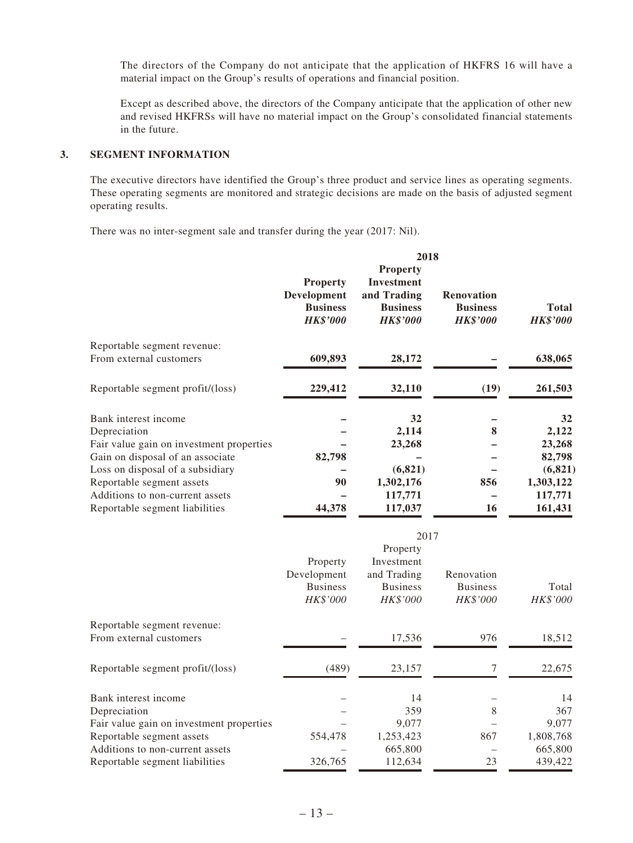The directors of the Company do not anticipate that the application of HKFRS 16 will have a material impact on the Group's results of operations and financial position.

Except as described above, the directors of the Company anticipate that the application of other new and revised HKFRSs will have no material impact on the Group's consolidated financial statements in the future.

#### **3. SEGMENT INFORMATION**

The executive directors have identified the Group's three product and service lines as operating segments. These operating segments are monitored and strategic decisions are made on the basis of adjusted segment operating results.

There was no inter-segment sale and transfer during the year (2017: Nil).

|                                          | 2018                                                                        |                                                                                    |                                                         |                                 |  |  |
|------------------------------------------|-----------------------------------------------------------------------------|------------------------------------------------------------------------------------|---------------------------------------------------------|---------------------------------|--|--|
|                                          | <b>Property</b><br><b>Development</b><br><b>Business</b><br><b>HK\$'000</b> | <b>Property</b><br>Investment<br>and Trading<br><b>Business</b><br><b>HK\$'000</b> | <b>Renovation</b><br><b>Business</b><br><b>HK\$'000</b> | <b>Total</b><br><b>HK\$'000</b> |  |  |
| Reportable segment revenue:              |                                                                             |                                                                                    |                                                         |                                 |  |  |
| From external customers                  | 609,893                                                                     | 28,172                                                                             |                                                         | 638,065                         |  |  |
| Reportable segment profit/(loss)         | 229,412                                                                     | 32,110                                                                             | (19)                                                    | 261,503                         |  |  |
| Bank interest income                     |                                                                             | 32                                                                                 |                                                         | 32                              |  |  |
| Depreciation                             |                                                                             | 2,114                                                                              | 8                                                       | 2,122                           |  |  |
| Fair value gain on investment properties |                                                                             | 23,268                                                                             |                                                         | 23,268                          |  |  |
| Gain on disposal of an associate         | 82,798                                                                      |                                                                                    |                                                         | 82,798                          |  |  |
| Loss on disposal of a subsidiary         |                                                                             | (6,821)                                                                            |                                                         | (6, 821)                        |  |  |
| Reportable segment assets                | 90                                                                          | 1,302,176                                                                          | 856                                                     | 1,303,122                       |  |  |
| Additions to non-current assets          |                                                                             | 117,771                                                                            |                                                         | 117,771                         |  |  |
| Reportable segment liabilities           | 44,378                                                                      | 117,037                                                                            | 16                                                      | 161,431                         |  |  |

|                                          | 2017                                                   |                                                                      |                                           |                   |  |  |
|------------------------------------------|--------------------------------------------------------|----------------------------------------------------------------------|-------------------------------------------|-------------------|--|--|
|                                          | Property<br>Development<br><b>Business</b><br>HK\$'000 | Property<br>Investment<br>and Trading<br><b>Business</b><br>HK\$'000 | Renovation<br><b>Business</b><br>HK\$'000 | Total<br>HK\$'000 |  |  |
| Reportable segment revenue:              |                                                        |                                                                      |                                           |                   |  |  |
| From external customers                  |                                                        | 17,536                                                               | 976                                       | 18,512            |  |  |
| Reportable segment profit/(loss)         | (489)                                                  | 23,157                                                               |                                           | 22,675            |  |  |
| Bank interest income                     |                                                        | 14                                                                   |                                           | 14                |  |  |
| Depreciation                             |                                                        | 359                                                                  | 8                                         | 367               |  |  |
| Fair value gain on investment properties |                                                        | 9,077                                                                |                                           | 9,077             |  |  |
| Reportable segment assets                | 554,478                                                | 1,253,423                                                            | 867                                       | 1,808,768         |  |  |
| Additions to non-current assets          |                                                        | 665,800                                                              |                                           | 665,800           |  |  |
| Reportable segment liabilities           | 326,765                                                | 112,634                                                              | 23                                        | 439,422           |  |  |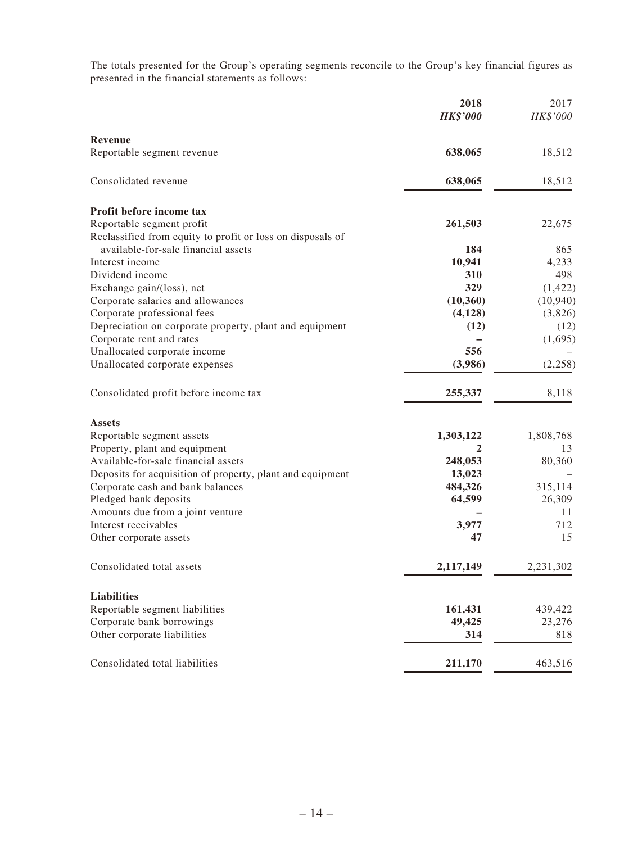The totals presented for the Group's operating segments reconcile to the Group's key financial figures as presented in the financial statements as follows:

|                                                            | 2018<br><b>HK\$'000</b> | 2017<br>HK\$'000 |
|------------------------------------------------------------|-------------------------|------------------|
| Revenue                                                    |                         |                  |
| Reportable segment revenue                                 | 638,065                 | 18,512           |
| Consolidated revenue                                       | 638,065                 | 18,512           |
| Profit before income tax                                   |                         |                  |
| Reportable segment profit                                  | 261,503                 | 22,675           |
| Reclassified from equity to profit or loss on disposals of |                         |                  |
| available-for-sale financial assets                        | 184                     | 865              |
| Interest income                                            | 10,941                  | 4,233            |
| Dividend income                                            | 310                     | 498              |
| Exchange gain/(loss), net                                  | 329                     | (1, 422)         |
| Corporate salaries and allowances                          | (10, 360)               | (10, 940)        |
| Corporate professional fees                                | (4,128)                 | (3,826)          |
| Depreciation on corporate property, plant and equipment    | (12)                    | (12)             |
| Corporate rent and rates                                   |                         | (1,695)          |
| Unallocated corporate income                               | 556                     |                  |
| Unallocated corporate expenses                             | (3,986)                 | (2,258)          |
| Consolidated profit before income tax                      | 255,337                 | 8,118            |
| <b>Assets</b>                                              |                         |                  |
| Reportable segment assets                                  | 1,303,122               | 1,808,768        |
| Property, plant and equipment                              |                         | 13               |
| Available-for-sale financial assets                        | 248,053                 | 80,360           |
| Deposits for acquisition of property, plant and equipment  | 13,023                  |                  |
| Corporate cash and bank balances                           | 484,326                 | 315,114          |
| Pledged bank deposits                                      | 64,599                  | 26,309           |
| Amounts due from a joint venture                           |                         | 11               |
| Interest receivables                                       | 3,977                   | 712              |
| Other corporate assets                                     | 47                      | 15               |
| Consolidated total assets                                  | 2,117,149               | 2,231,302        |
| <b>Liabilities</b>                                         |                         |                  |
| Reportable segment liabilities                             | 161,431                 | 439,422          |
| Corporate bank borrowings                                  | 49,425                  | 23,276           |
| Other corporate liabilities                                | 314                     | 818              |
| Consolidated total liabilities                             | 211,170                 | 463,516          |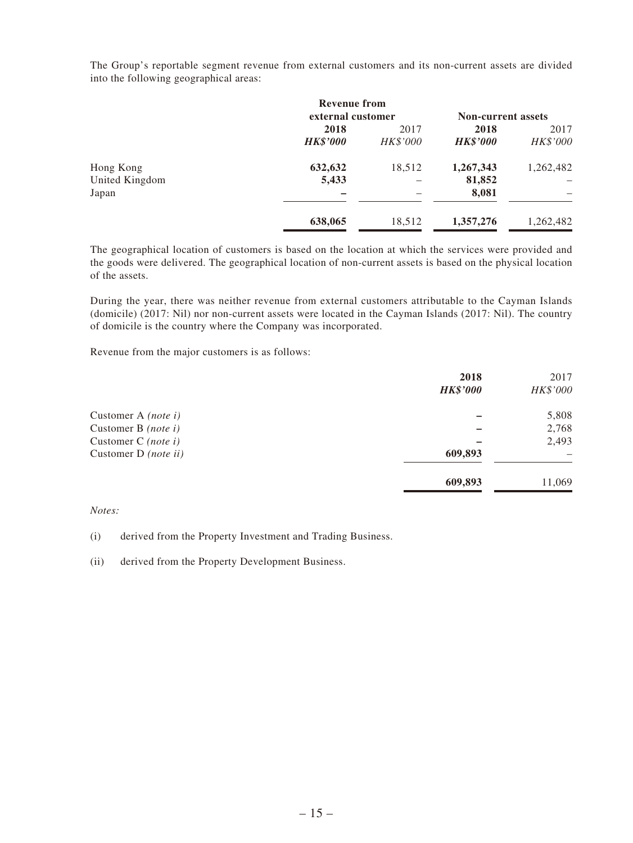The Group's reportable segment revenue from external customers and its non-current assets are divided into the following geographical areas:

|                | <b>Revenue from</b> |          |                           |           |  |
|----------------|---------------------|----------|---------------------------|-----------|--|
|                | external customer   |          | <b>Non-current assets</b> |           |  |
|                | 2018<br>2017        |          | 2018                      | 2017      |  |
|                | <b>HK\$'000</b>     | HK\$'000 | <b>HK\$'000</b>           | HK\$'000  |  |
| Hong Kong      | 632,632             | 18,512   | 1,267,343                 | 1,262,482 |  |
| United Kingdom | 5,433               |          | 81,852                    |           |  |
| Japan          |                     |          | 8,081                     |           |  |
|                | 638,065             | 18,512   | 1,357,276                 | 1,262,482 |  |

The geographical location of customers is based on the location at which the services were provided and the goods were delivered. The geographical location of non-current assets is based on the physical location of the assets.

During the year, there was neither revenue from external customers attributable to the Cayman Islands (domicile) (2017: Nil) nor non-current assets were located in the Cayman Islands (2017: Nil). The country of domicile is the country where the Company was incorporated.

Revenue from the major customers is as follows:

|                            | 2018            | 2017     |
|----------------------------|-----------------|----------|
|                            | <b>HK\$'000</b> | HK\$'000 |
| Customer A <i>(note i)</i> |                 | 5,808    |
| Customer B $(note\ i)$     |                 | 2,768    |
| Customer C $(note\ i)$     |                 | 2,493    |
| Customer D (note ii)       | 609,893         |          |
|                            | 609,893         | 11,069   |

#### *Notes:*

(i) derived from the Property Investment and Trading Business.

(ii) derived from the Property Development Business.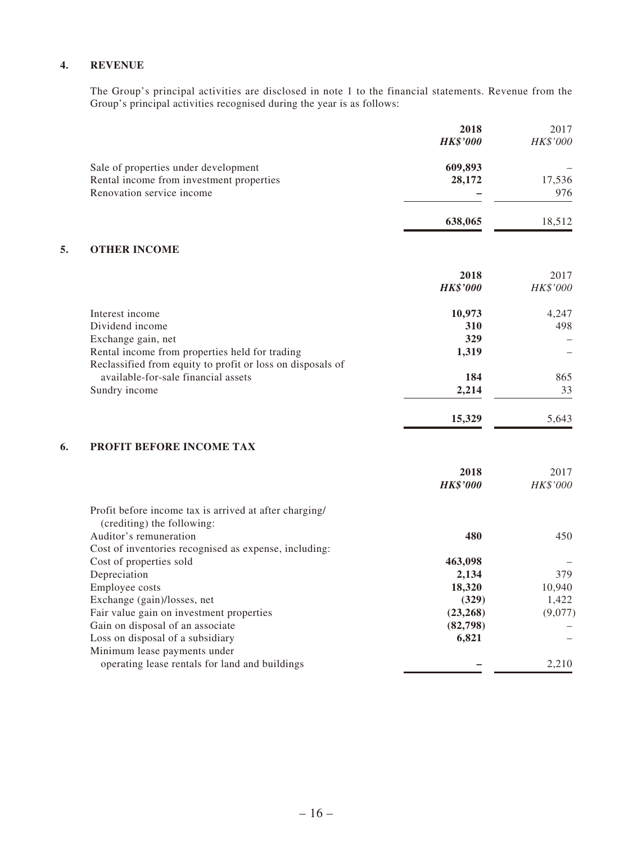#### **4. REVENUE**

The Group's principal activities are disclosed in note 1 to the financial statements. Revenue from the Group's principal activities recognised during the year is as follows:

|    |                                                                                      | 2018<br><b>HK\$'000</b> | 2017<br>HK\$'000 |
|----|--------------------------------------------------------------------------------------|-------------------------|------------------|
|    | Sale of properties under development                                                 | 609,893                 |                  |
|    | Rental income from investment properties                                             | 28,172                  | 17,536           |
|    | Renovation service income                                                            |                         | 976              |
|    |                                                                                      | 638,065                 | 18,512           |
| 5. | <b>OTHER INCOME</b>                                                                  |                         |                  |
|    |                                                                                      | 2018                    | 2017             |
|    |                                                                                      | <b>HK\$'000</b>         | HK\$'000         |
|    | Interest income                                                                      | 10,973                  | 4,247            |
|    | Dividend income                                                                      | 310                     | 498              |
|    | Exchange gain, net                                                                   | 329                     |                  |
|    | Rental income from properties held for trading                                       | 1,319                   |                  |
|    | Reclassified from equity to profit or loss on disposals of                           |                         |                  |
|    | available-for-sale financial assets                                                  | 184                     | 865              |
|    | Sundry income                                                                        | 2,214                   | 33               |
|    |                                                                                      | 15,329                  | 5,643            |
| 6. | PROFIT BEFORE INCOME TAX                                                             |                         |                  |
|    |                                                                                      | 2018                    | 2017             |
|    |                                                                                      | <b>HK\$'000</b>         | HK\$'000         |
|    | Profit before income tax is arrived at after charging/<br>(crediting) the following: |                         |                  |
|    | Auditor's remuneration                                                               | 480                     | 450              |
|    | Cost of inventories recognised as expense, including:                                |                         |                  |
|    | Cost of properties sold                                                              | 463,098                 |                  |
|    | Depreciation                                                                         | 2,134                   | 379              |
|    | Employee costs                                                                       | 18,320                  | 10,940           |
|    | Exchange (gain)/losses, net                                                          | (329)                   | 1,422            |
|    | Fair value gain on investment properties                                             | (23, 268)               | (9,077)          |
|    | Gain on disposal of an associate<br>Loss on disposal of a subsidiary                 | (82,798)<br>6,821       |                  |
|    | Minimum lease payments under                                                         |                         |                  |
|    | operating lease rentals for land and buildings                                       |                         | 2,210            |
|    |                                                                                      |                         |                  |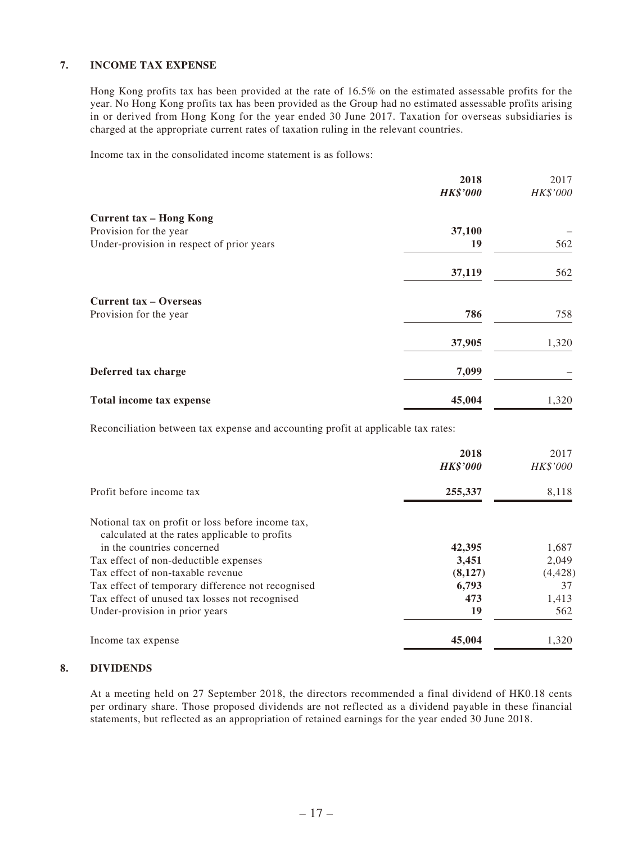#### **7. INCOME TAX EXPENSE**

Hong Kong profits tax has been provided at the rate of 16.5% on the estimated assessable profits for the year. No Hong Kong profits tax has been provided as the Group had no estimated assessable profits arising in or derived from Hong Kong for the year ended 30 June 2017. Taxation for overseas subsidiaries is charged at the appropriate current rates of taxation ruling in the relevant countries.

Income tax in the consolidated income statement is as follows:

|                                           | 2018            | 2017     |
|-------------------------------------------|-----------------|----------|
|                                           | <b>HK\$'000</b> | HK\$'000 |
| <b>Current tax - Hong Kong</b>            |                 |          |
| Provision for the year                    | 37,100          |          |
| Under-provision in respect of prior years | 19              | 562      |
|                                           | 37,119          | 562      |
| <b>Current tax – Overseas</b>             |                 |          |
| Provision for the year                    | 786             | 758      |
|                                           | 37,905          | 1,320    |
| Deferred tax charge                       | 7,099           |          |
| Total income tax expense                  | 45,004          | 1,320    |

Reconciliation between tax expense and accounting profit at applicable tax rates:

|                                                   | 2018<br><b>HK\$'000</b> | 2017<br>HK\$'000 |
|---------------------------------------------------|-------------------------|------------------|
| Profit before income tax                          | 255,337                 | 8,118            |
| Notional tax on profit or loss before income tax, |                         |                  |
| calculated at the rates applicable to profits     |                         |                  |
| in the countries concerned                        | 42,395                  | 1,687            |
| Tax effect of non-deductible expenses             | 3,451                   | 2,049            |
| Tax effect of non-taxable revenue                 | (8,127)                 | (4, 428)         |
| Tax effect of temporary difference not recognised | 6,793                   | 37               |
| Tax effect of unused tax losses not recognised    | 473                     | 1,413            |
| Under-provision in prior years                    | 19                      | 562              |
| Income tax expense                                | 45,004                  | 1,320            |

#### **8. DIVIDENDS**

At a meeting held on 27 September 2018, the directors recommended a final dividend of HK0.18 cents per ordinary share. Those proposed dividends are not reflected as a dividend payable in these financial statements, but reflected as an appropriation of retained earnings for the year ended 30 June 2018.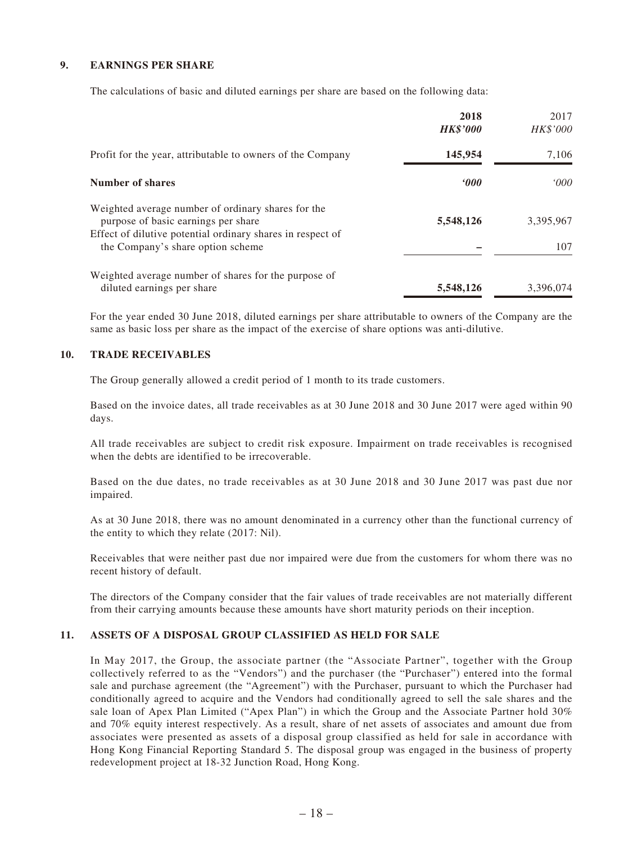#### **9. EARNINGS PER SHARE**

The calculations of basic and diluted earnings per share are based on the following data:

|                                                                                                 | 2018<br><b>HK\$'000</b> | 2017<br>HK\$'000 |
|-------------------------------------------------------------------------------------------------|-------------------------|------------------|
| Profit for the year, attributable to owners of the Company                                      | 145,954                 | 7,106            |
| Number of shares                                                                                | 000                     | 000'             |
| Weighted average number of ordinary shares for the<br>purpose of basic earnings per share       | 5,548,126               | 3,395,967        |
| Effect of dilutive potential ordinary shares in respect of<br>the Company's share option scheme |                         | 107              |
| Weighted average number of shares for the purpose of<br>diluted earnings per share              | 5,548,126               | 3,396,074        |

For the year ended 30 June 2018, diluted earnings per share attributable to owners of the Company are the same as basic loss per share as the impact of the exercise of share options was anti-dilutive.

#### **10. TRADE RECEIVABLES**

The Group generally allowed a credit period of 1 month to its trade customers.

Based on the invoice dates, all trade receivables as at 30 June 2018 and 30 June 2017 were aged within 90 days.

All trade receivables are subject to credit risk exposure. Impairment on trade receivables is recognised when the debts are identified to be irrecoverable.

Based on the due dates, no trade receivables as at 30 June 2018 and 30 June 2017 was past due nor impaired.

As at 30 June 2018, there was no amount denominated in a currency other than the functional currency of the entity to which they relate (2017: Nil).

Receivables that were neither past due nor impaired were due from the customers for whom there was no recent history of default.

The directors of the Company consider that the fair values of trade receivables are not materially different from their carrying amounts because these amounts have short maturity periods on their inception.

#### **11. ASSETS OF A DISPOSAL GROUP CLASSIFIED AS HELD FOR SALE**

In May 2017, the Group, the associate partner (the "Associate Partner", together with the Group collectively referred to as the "Vendors") and the purchaser (the "Purchaser") entered into the formal sale and purchase agreement (the "Agreement") with the Purchaser, pursuant to which the Purchaser had conditionally agreed to acquire and the Vendors had conditionally agreed to sell the sale shares and the sale loan of Apex Plan Limited ("Apex Plan") in which the Group and the Associate Partner hold 30% and 70% equity interest respectively. As a result, share of net assets of associates and amount due from associates were presented as assets of a disposal group classified as held for sale in accordance with Hong Kong Financial Reporting Standard 5. The disposal group was engaged in the business of property redevelopment project at 18-32 Junction Road, Hong Kong.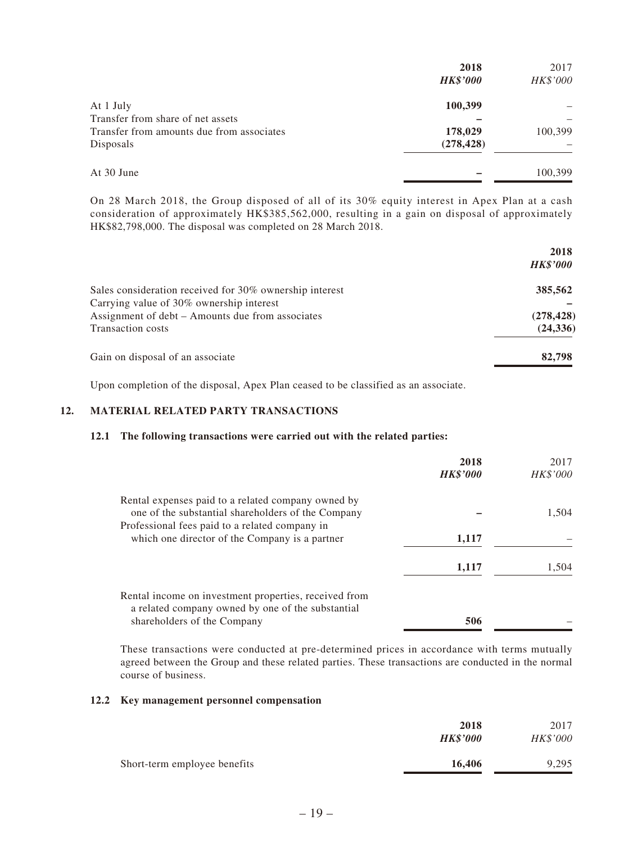| 2018            | 2017     |
|-----------------|----------|
| <b>HK\$'000</b> | HK\$'000 |
| 100,399         |          |
|                 |          |
| 178,029         | 100,399  |
| (278, 428)      |          |
|                 | 100,399  |
|                 |          |

On 28 March 2018, the Group disposed of all of its 30% equity interest in Apex Plan at a cash consideration of approximately HK\$385,562,000, resulting in a gain on disposal of approximately HK\$82,798,000. The disposal was completed on 28 March 2018.

|                                                         | 2018<br><b>HK\$'000</b> |
|---------------------------------------------------------|-------------------------|
| Sales consideration received for 30% ownership interest | 385,562                 |
| Carrying value of 30% ownership interest                |                         |
| Assignment of debt – Amounts due from associates        | (278, 428)              |
| <b>Transaction costs</b>                                | (24, 336)               |
| Gain on disposal of an associate                        | 82,798                  |

Upon completion of the disposal, Apex Plan ceased to be classified as an associate.

#### **12. MATERIAL RELATED PARTY TRANSACTIONS**

#### **12.1 The following transactions were carried out with the related parties:**

|                                                                                                            | 2018<br><b>HK\$'000</b> | 2017<br><i>HK\$'000</i> |
|------------------------------------------------------------------------------------------------------------|-------------------------|-------------------------|
| Rental expenses paid to a related company owned by<br>one of the substantial shareholders of the Company   |                         | 1,504                   |
| Professional fees paid to a related company in<br>which one director of the Company is a partner           | 1,117                   |                         |
|                                                                                                            | 1,117                   | 1,504                   |
| Rental income on investment properties, received from<br>a related company owned by one of the substantial |                         |                         |
| shareholders of the Company                                                                                | 506                     |                         |

These transactions were conducted at pre-determined prices in accordance with terms mutually agreed between the Group and these related parties. These transactions are conducted in the normal course of business.

#### **12.2 Key management personnel compensation**

|                              | 2018<br><b>HK\$'000</b> | 2017<br><b>HK\$'000</b> |
|------------------------------|-------------------------|-------------------------|
| Short-term employee benefits | 16.406                  | 9,295                   |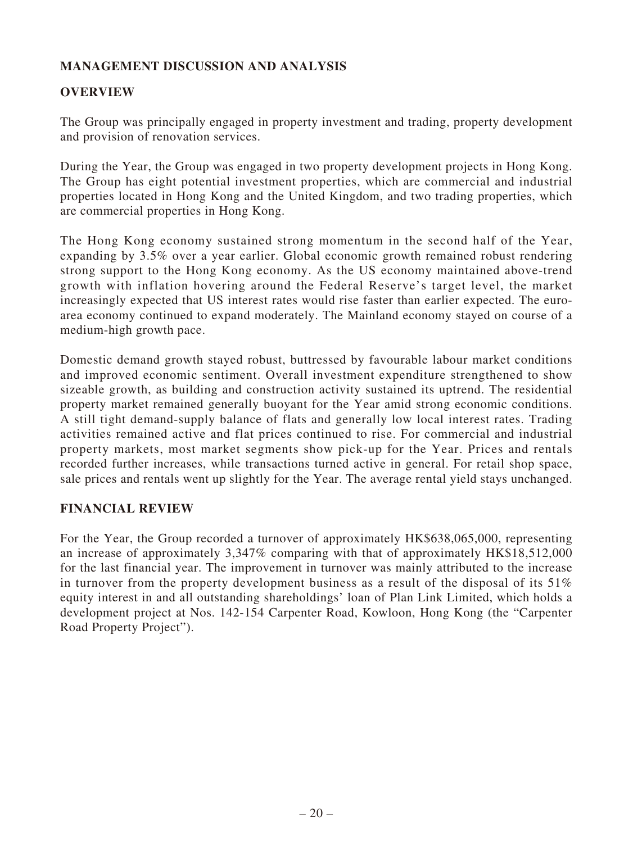## **MANAGEMENT DISCUSSION AND ANALYSIS**

### **OVERVIEW**

The Group was principally engaged in property investment and trading, property development and provision of renovation services.

During the Year, the Group was engaged in two property development projects in Hong Kong. The Group has eight potential investment properties, which are commercial and industrial properties located in Hong Kong and the United Kingdom, and two trading properties, which are commercial properties in Hong Kong.

The Hong Kong economy sustained strong momentum in the second half of the Year, expanding by 3.5% over a year earlier. Global economic growth remained robust rendering strong support to the Hong Kong economy. As the US economy maintained above-trend growth with inflation hovering around the Federal Reserve's target level, the market increasingly expected that US interest rates would rise faster than earlier expected. The euroarea economy continued to expand moderately. The Mainland economy stayed on course of a medium-high growth pace.

Domestic demand growth stayed robust, buttressed by favourable labour market conditions and improved economic sentiment. Overall investment expenditure strengthened to show sizeable growth, as building and construction activity sustained its uptrend. The residential property market remained generally buoyant for the Year amid strong economic conditions. A still tight demand-supply balance of flats and generally low local interest rates. Trading activities remained active and flat prices continued to rise. For commercial and industrial property markets, most market segments show pick-up for the Year. Prices and rentals recorded further increases, while transactions turned active in general. For retail shop space, sale prices and rentals went up slightly for the Year. The average rental yield stays unchanged.

### **FINANCIAL REVIEW**

For the Year, the Group recorded a turnover of approximately HK\$638,065,000, representing an increase of approximately 3,347% comparing with that of approximately HK\$18,512,000 for the last financial year. The improvement in turnover was mainly attributed to the increase in turnover from the property development business as a result of the disposal of its 51% equity interest in and all outstanding shareholdings' loan of Plan Link Limited, which holds a development project at Nos. 142-154 Carpenter Road, Kowloon, Hong Kong (the "Carpenter Road Property Project").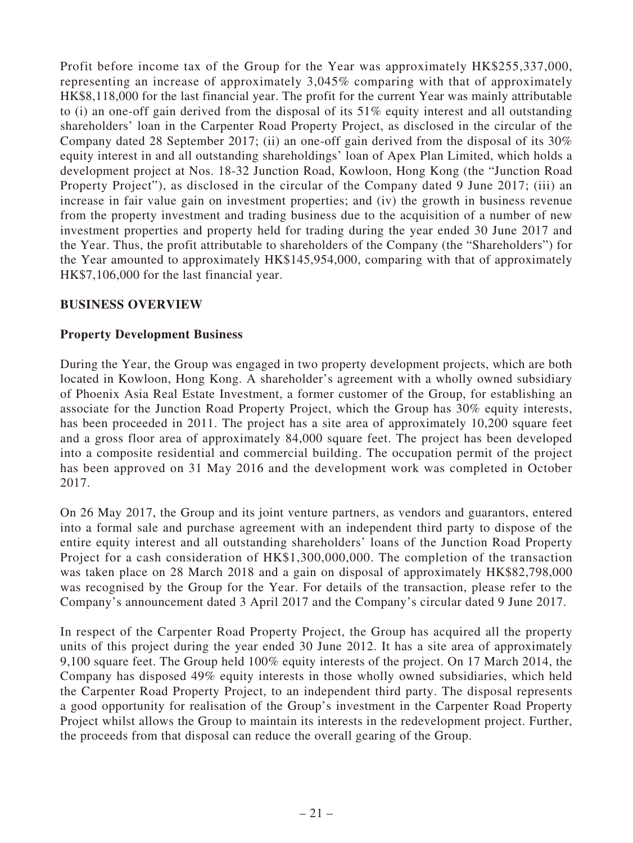Profit before income tax of the Group for the Year was approximately HK\$255,337,000, representing an increase of approximately 3,045% comparing with that of approximately HK\$8,118,000 for the last financial year. The profit for the current Year was mainly attributable to (i) an one-off gain derived from the disposal of its 51% equity interest and all outstanding shareholders' loan in the Carpenter Road Property Project, as disclosed in the circular of the Company dated 28 September 2017; (ii) an one-off gain derived from the disposal of its 30% equity interest in and all outstanding shareholdings' loan of Apex Plan Limited, which holds a development project at Nos. 18-32 Junction Road, Kowloon, Hong Kong (the "Junction Road Property Project"), as disclosed in the circular of the Company dated 9 June 2017; (iii) an increase in fair value gain on investment properties; and (iv) the growth in business revenue from the property investment and trading business due to the acquisition of a number of new investment properties and property held for trading during the year ended 30 June 2017 and the Year. Thus, the profit attributable to shareholders of the Company (the "Shareholders") for the Year amounted to approximately HK\$145,954,000, comparing with that of approximately HK\$7,106,000 for the last financial year.

### **BUSINESS OVERVIEW**

#### **Property Development Business**

During the Year, the Group was engaged in two property development projects, which are both located in Kowloon, Hong Kong. A shareholder's agreement with a wholly owned subsidiary of Phoenix Asia Real Estate Investment, a former customer of the Group, for establishing an associate for the Junction Road Property Project, which the Group has 30% equity interests, has been proceeded in 2011. The project has a site area of approximately 10,200 square feet and a gross floor area of approximately 84,000 square feet. The project has been developed into a composite residential and commercial building. The occupation permit of the project has been approved on 31 May 2016 and the development work was completed in October 2017.

On 26 May 2017, the Group and its joint venture partners, as vendors and guarantors, entered into a formal sale and purchase agreement with an independent third party to dispose of the entire equity interest and all outstanding shareholders' loans of the Junction Road Property Project for a cash consideration of HK\$1,300,000,000. The completion of the transaction was taken place on 28 March 2018 and a gain on disposal of approximately HK\$82,798,000 was recognised by the Group for the Year. For details of the transaction, please refer to the Company's announcement dated 3 April 2017 and the Company's circular dated 9 June 2017.

In respect of the Carpenter Road Property Project, the Group has acquired all the property units of this project during the year ended 30 June 2012. It has a site area of approximately 9,100 square feet. The Group held 100% equity interests of the project. On 17 March 2014, the Company has disposed 49% equity interests in those wholly owned subsidiaries, which held the Carpenter Road Property Project, to an independent third party. The disposal represents a good opportunity for realisation of the Group's investment in the Carpenter Road Property Project whilst allows the Group to maintain its interests in the redevelopment project. Further, the proceeds from that disposal can reduce the overall gearing of the Group.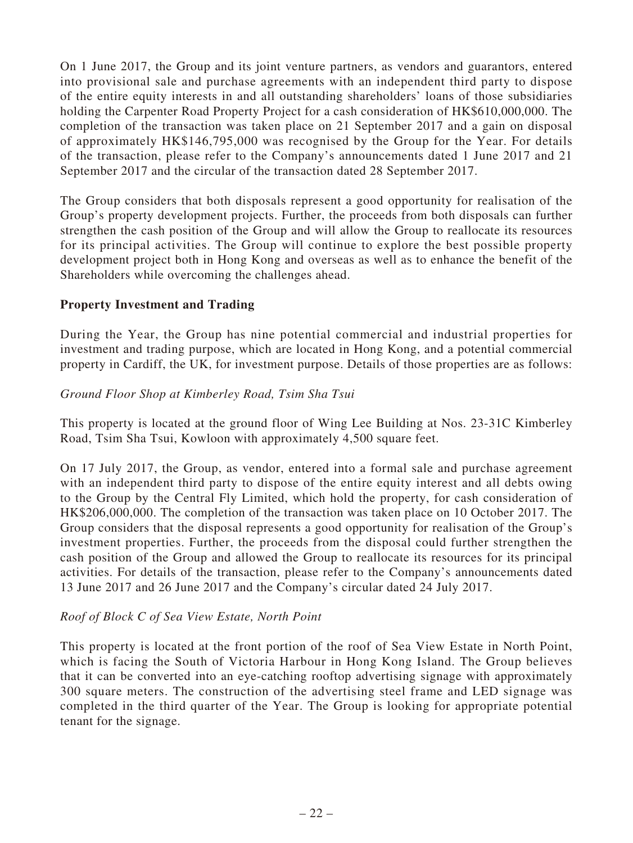On 1 June 2017, the Group and its joint venture partners, as vendors and guarantors, entered into provisional sale and purchase agreements with an independent third party to dispose of the entire equity interests in and all outstanding shareholders' loans of those subsidiaries holding the Carpenter Road Property Project for a cash consideration of HK\$610,000,000. The completion of the transaction was taken place on 21 September 2017 and a gain on disposal of approximately HK\$146,795,000 was recognised by the Group for the Year. For details of the transaction, please refer to the Company's announcements dated 1 June 2017 and 21 September 2017 and the circular of the transaction dated 28 September 2017.

The Group considers that both disposals represent a good opportunity for realisation of the Group's property development projects. Further, the proceeds from both disposals can further strengthen the cash position of the Group and will allow the Group to reallocate its resources for its principal activities. The Group will continue to explore the best possible property development project both in Hong Kong and overseas as well as to enhance the benefit of the Shareholders while overcoming the challenges ahead.

### **Property Investment and Trading**

During the Year, the Group has nine potential commercial and industrial properties for investment and trading purpose, which are located in Hong Kong, and a potential commercial property in Cardiff, the UK, for investment purpose. Details of those properties are as follows:

#### *Ground Floor Shop at Kimberley Road, Tsim Sha Tsui*

This property is located at the ground floor of Wing Lee Building at Nos. 23-31C Kimberley Road, Tsim Sha Tsui, Kowloon with approximately 4,500 square feet.

On 17 July 2017, the Group, as vendor, entered into a formal sale and purchase agreement with an independent third party to dispose of the entire equity interest and all debts owing to the Group by the Central Fly Limited, which hold the property, for cash consideration of HK\$206,000,000. The completion of the transaction was taken place on 10 October 2017. The Group considers that the disposal represents a good opportunity for realisation of the Group's investment properties. Further, the proceeds from the disposal could further strengthen the cash position of the Group and allowed the Group to reallocate its resources for its principal activities. For details of the transaction, please refer to the Company's announcements dated 13 June 2017 and 26 June 2017 and the Company's circular dated 24 July 2017.

#### *Roof of Block C of Sea View Estate, North Point*

This property is located at the front portion of the roof of Sea View Estate in North Point, which is facing the South of Victoria Harbour in Hong Kong Island. The Group believes that it can be converted into an eye-catching rooftop advertising signage with approximately 300 square meters. The construction of the advertising steel frame and LED signage was completed in the third quarter of the Year. The Group is looking for appropriate potential tenant for the signage.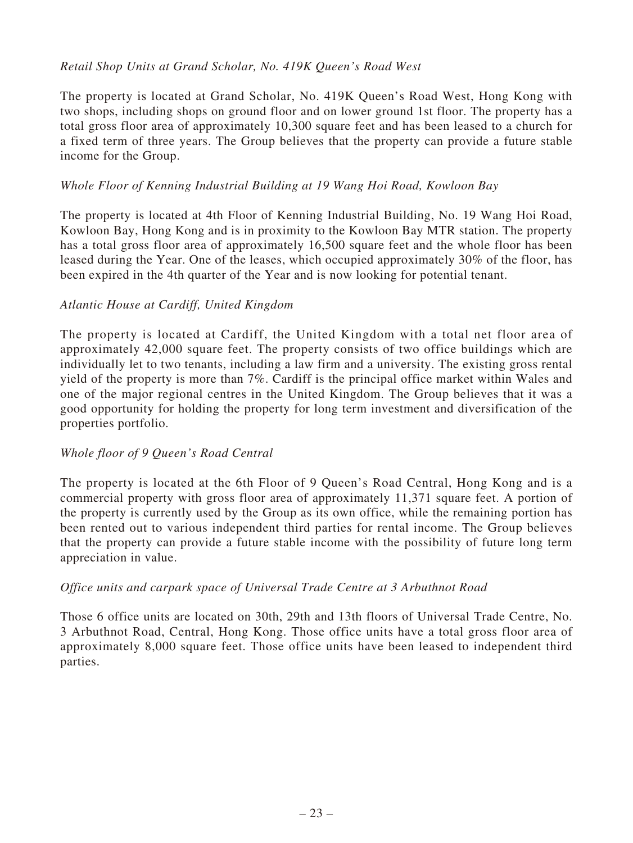### *Retail Shop Units at Grand Scholar, No. 419K Queen's Road West*

The property is located at Grand Scholar, No. 419K Queen's Road West, Hong Kong with two shops, including shops on ground floor and on lower ground 1st floor. The property has a total gross floor area of approximately 10,300 square feet and has been leased to a church for a fixed term of three years. The Group believes that the property can provide a future stable income for the Group.

### *Whole Floor of Kenning Industrial Building at 19 Wang Hoi Road, Kowloon Bay*

The property is located at 4th Floor of Kenning Industrial Building, No. 19 Wang Hoi Road, Kowloon Bay, Hong Kong and is in proximity to the Kowloon Bay MTR station. The property has a total gross floor area of approximately 16,500 square feet and the whole floor has been leased during the Year. One of the leases, which occupied approximately 30% of the floor, has been expired in the 4th quarter of the Year and is now looking for potential tenant.

#### *Atlantic House at Cardiff, United Kingdom*

The property is located at Cardiff, the United Kingdom with a total net floor area of approximately 42,000 square feet. The property consists of two office buildings which are individually let to two tenants, including a law firm and a university. The existing gross rental yield of the property is more than 7%. Cardiff is the principal office market within Wales and one of the major regional centres in the United Kingdom. The Group believes that it was a good opportunity for holding the property for long term investment and diversification of the properties portfolio.

### *Whole floor of 9 Queen's Road Central*

The property is located at the 6th Floor of 9 Queen's Road Central, Hong Kong and is a commercial property with gross floor area of approximately 11,371 square feet. A portion of the property is currently used by the Group as its own office, while the remaining portion has been rented out to various independent third parties for rental income. The Group believes that the property can provide a future stable income with the possibility of future long term appreciation in value.

#### *Office units and carpark space of Universal Trade Centre at 3 Arbuthnot Road*

Those 6 office units are located on 30th, 29th and 13th floors of Universal Trade Centre, No. 3 Arbuthnot Road, Central, Hong Kong. Those office units have a total gross floor area of approximately 8,000 square feet. Those office units have been leased to independent third parties.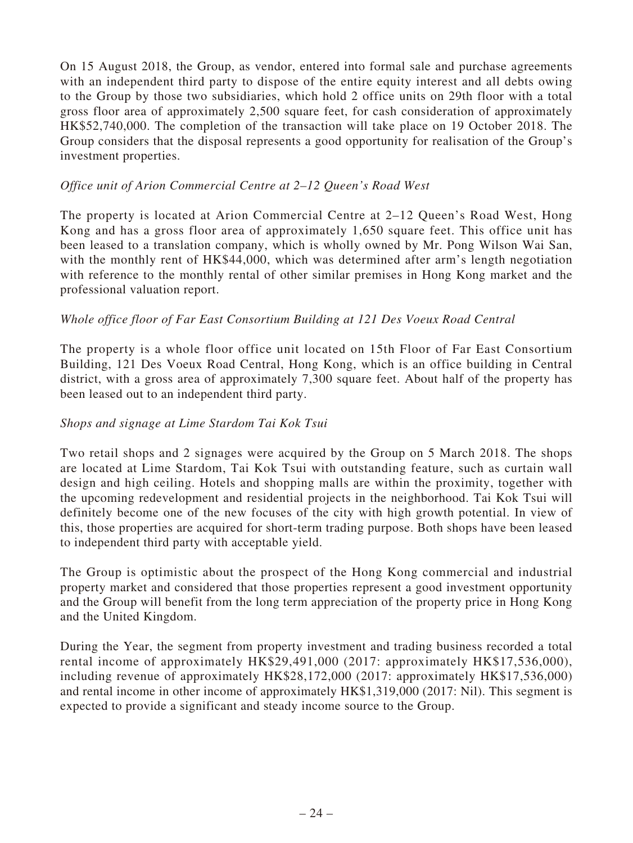On 15 August 2018, the Group, as vendor, entered into formal sale and purchase agreements with an independent third party to dispose of the entire equity interest and all debts owing to the Group by those two subsidiaries, which hold 2 office units on 29th floor with a total gross floor area of approximately 2,500 square feet, for cash consideration of approximately HK\$52,740,000. The completion of the transaction will take place on 19 October 2018. The Group considers that the disposal represents a good opportunity for realisation of the Group's investment properties.

### *Office unit of Arion Commercial Centre at 2–12 Queen's Road West*

The property is located at Arion Commercial Centre at 2–12 Queen's Road West, Hong Kong and has a gross floor area of approximately 1,650 square feet. This office unit has been leased to a translation company, which is wholly owned by Mr. Pong Wilson Wai San, with the monthly rent of HK\$44,000, which was determined after arm's length negotiation with reference to the monthly rental of other similar premises in Hong Kong market and the professional valuation report.

### *Whole office floor of Far East Consortium Building at 121 Des Voeux Road Central*

The property is a whole floor office unit located on 15th Floor of Far East Consortium Building, 121 Des Voeux Road Central, Hong Kong, which is an office building in Central district, with a gross area of approximately 7,300 square feet. About half of the property has been leased out to an independent third party.

#### *Shops and signage at Lime Stardom Tai Kok Tsui*

Two retail shops and 2 signages were acquired by the Group on 5 March 2018. The shops are located at Lime Stardom, Tai Kok Tsui with outstanding feature, such as curtain wall design and high ceiling. Hotels and shopping malls are within the proximity, together with the upcoming redevelopment and residential projects in the neighborhood. Tai Kok Tsui will definitely become one of the new focuses of the city with high growth potential. In view of this, those properties are acquired for short-term trading purpose. Both shops have been leased to independent third party with acceptable yield.

The Group is optimistic about the prospect of the Hong Kong commercial and industrial property market and considered that those properties represent a good investment opportunity and the Group will benefit from the long term appreciation of the property price in Hong Kong and the United Kingdom.

During the Year, the segment from property investment and trading business recorded a total rental income of approximately HK\$29,491,000 (2017: approximately HK\$17,536,000), including revenue of approximately HK\$28,172,000 (2017: approximately HK\$17,536,000) and rental income in other income of approximately HK\$1,319,000 (2017: Nil). This segment is expected to provide a significant and steady income source to the Group.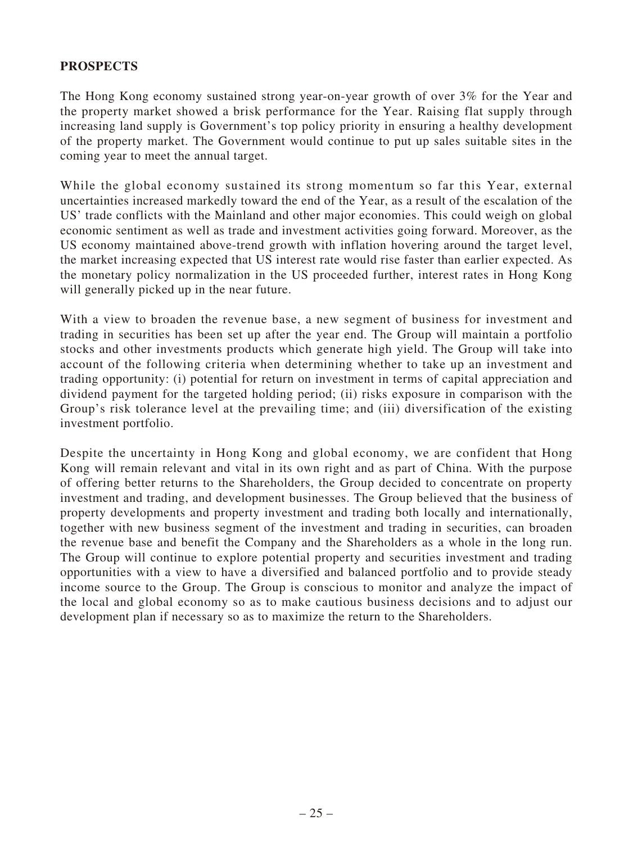### **PROSPECTS**

The Hong Kong economy sustained strong year-on-year growth of over 3% for the Year and the property market showed a brisk performance for the Year. Raising flat supply through increasing land supply is Government's top policy priority in ensuring a healthy development of the property market. The Government would continue to put up sales suitable sites in the coming year to meet the annual target.

While the global economy sustained its strong momentum so far this Year, external uncertainties increased markedly toward the end of the Year, as a result of the escalation of the US' trade conflicts with the Mainland and other major economies. This could weigh on global economic sentiment as well as trade and investment activities going forward. Moreover, as the US economy maintained above-trend growth with inflation hovering around the target level, the market increasing expected that US interest rate would rise faster than earlier expected. As the monetary policy normalization in the US proceeded further, interest rates in Hong Kong will generally picked up in the near future.

With a view to broaden the revenue base, a new segment of business for investment and trading in securities has been set up after the year end. The Group will maintain a portfolio stocks and other investments products which generate high yield. The Group will take into account of the following criteria when determining whether to take up an investment and trading opportunity: (i) potential for return on investment in terms of capital appreciation and dividend payment for the targeted holding period; (ii) risks exposure in comparison with the Group's risk tolerance level at the prevailing time; and (iii) diversification of the existing investment portfolio.

Despite the uncertainty in Hong Kong and global economy, we are confident that Hong Kong will remain relevant and vital in its own right and as part of China. With the purpose of offering better returns to the Shareholders, the Group decided to concentrate on property investment and trading, and development businesses. The Group believed that the business of property developments and property investment and trading both locally and internationally, together with new business segment of the investment and trading in securities, can broaden the revenue base and benefit the Company and the Shareholders as a whole in the long run. The Group will continue to explore potential property and securities investment and trading opportunities with a view to have a diversified and balanced portfolio and to provide steady income source to the Group. The Group is conscious to monitor and analyze the impact of the local and global economy so as to make cautious business decisions and to adjust our development plan if necessary so as to maximize the return to the Shareholders.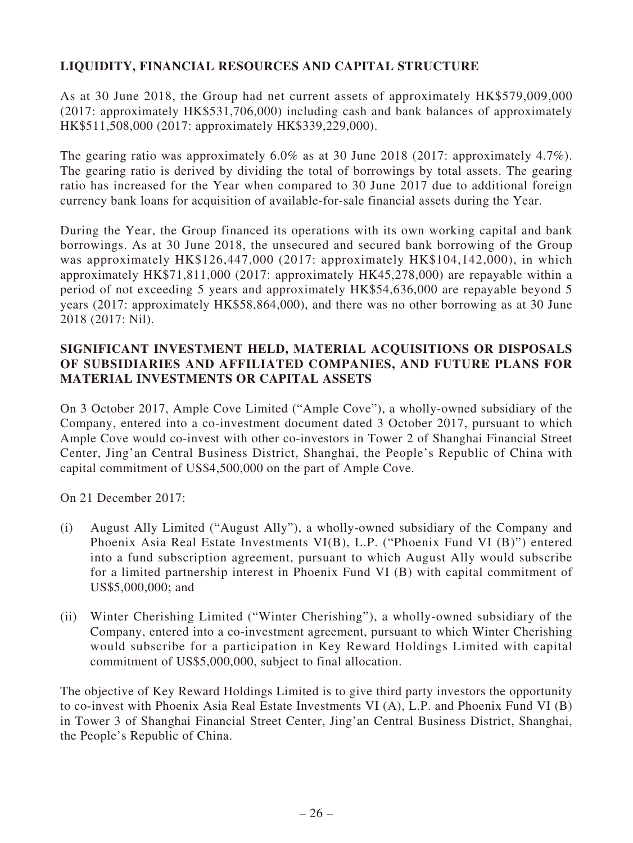## **LIQUIDITY, FINANCIAL RESOURCES AND CAPITAL STRUCTURE**

As at 30 June 2018, the Group had net current assets of approximately HK\$579,009,000 (2017: approximately HK\$531,706,000) including cash and bank balances of approximately HK\$511,508,000 (2017: approximately HK\$339,229,000).

The gearing ratio was approximately 6.0% as at 30 June 2018 (2017: approximately 4.7%). The gearing ratio is derived by dividing the total of borrowings by total assets. The gearing ratio has increased for the Year when compared to 30 June 2017 due to additional foreign currency bank loans for acquisition of available-for-sale financial assets during the Year.

During the Year, the Group financed its operations with its own working capital and bank borrowings. As at 30 June 2018, the unsecured and secured bank borrowing of the Group was approximately HK\$126,447,000 (2017: approximately HK\$104,142,000), in which approximately HK\$71,811,000 (2017: approximately HK45,278,000) are repayable within a period of not exceeding 5 years and approximately HK\$54,636,000 are repayable beyond 5 years (2017: approximately HK\$58,864,000), and there was no other borrowing as at 30 June 2018 (2017: Nil).

### **SIGNIFICANT INVESTMENT HELD, MATERIAL ACQUISITIONS OR DISPOSALS OF SUBSIDIARIES AND AFFILIATED COMPANIES, AND FUTURE PLANS FOR MATERIAL INVESTMENTS OR CAPITAL ASSETS**

On 3 October 2017, Ample Cove Limited ("Ample Cove"), a wholly-owned subsidiary of the Company, entered into a co-investment document dated 3 October 2017, pursuant to which Ample Cove would co-invest with other co-investors in Tower 2 of Shanghai Financial Street Center, Jing'an Central Business District, Shanghai, the People's Republic of China with capital commitment of US\$4,500,000 on the part of Ample Cove.

On 21 December 2017:

- (i) August Ally Limited ("August Ally"), a wholly-owned subsidiary of the Company and Phoenix Asia Real Estate Investments VI(B), L.P. ("Phoenix Fund VI (B)") entered into a fund subscription agreement, pursuant to which August Ally would subscribe for a limited partnership interest in Phoenix Fund VI (B) with capital commitment of US\$5,000,000; and
- (ii) Winter Cherishing Limited ("Winter Cherishing"), a wholly-owned subsidiary of the Company, entered into a co-investment agreement, pursuant to which Winter Cherishing would subscribe for a participation in Key Reward Holdings Limited with capital commitment of US\$5,000,000, subject to final allocation.

The objective of Key Reward Holdings Limited is to give third party investors the opportunity to co-invest with Phoenix Asia Real Estate Investments VI (A), L.P. and Phoenix Fund VI (B) in Tower 3 of Shanghai Financial Street Center, Jing'an Central Business District, Shanghai, the People's Republic of China.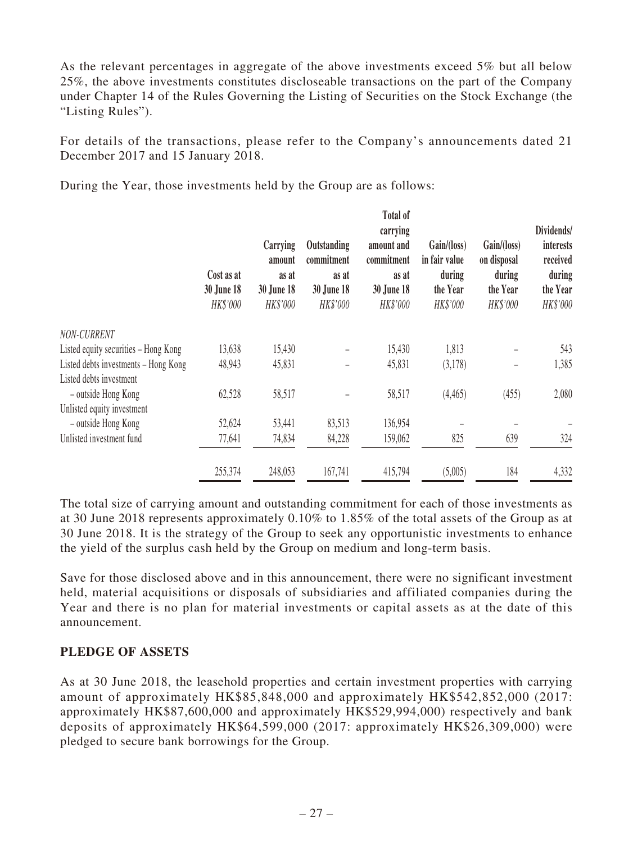As the relevant percentages in aggregate of the above investments exceed 5% but all below 25%, the above investments constitutes discloseable transactions on the part of the Company under Chapter 14 of the Rules Governing the Listing of Securities on the Stock Exchange (the "Listing Rules").

For details of the transactions, please refer to the Company's announcements dated 21 December 2017 and 15 January 2018.

During the Year, those investments held by the Group are as follows:

|                                      | Cost as at<br>30 June 18<br>HK\$'000 | Carrying<br>amount<br>as at<br><b>30 June 18</b><br>HK\$'000 | Outstanding<br>commitment<br>as at<br><b>30 June 18</b><br>HK\$'000 | <b>Total of</b><br>carrying<br>amount and<br>commitment<br>as at<br><b>30 June 18</b><br>HK\$'000 | Gain/(loss)<br>in fair value<br>during<br>the Year<br>HK\$'000 | Gain/(loss)<br>on disposal<br>during<br>the Year<br>HK\$'000 | Dividends/<br>interests<br>received<br>during<br>the Year<br>HK\$'000 |
|--------------------------------------|--------------------------------------|--------------------------------------------------------------|---------------------------------------------------------------------|---------------------------------------------------------------------------------------------------|----------------------------------------------------------------|--------------------------------------------------------------|-----------------------------------------------------------------------|
| NON-CURRENT                          |                                      |                                                              |                                                                     |                                                                                                   |                                                                |                                                              |                                                                       |
| Listed equity securities – Hong Kong | 13,638                               | 15,430                                                       |                                                                     | 15,430                                                                                            | 1,813                                                          |                                                              | 543                                                                   |
| Listed debts investments - Hong Kong | 48,943                               | 45,831                                                       |                                                                     | 45,831                                                                                            | (3,178)                                                        | -                                                            | 1,385                                                                 |
| Listed debts investment              |                                      |                                                              |                                                                     |                                                                                                   |                                                                |                                                              |                                                                       |
| - outside Hong Kong                  | 62,528                               | 58,517                                                       |                                                                     | 58,517                                                                                            | (4, 465)                                                       | (455)                                                        | 2,080                                                                 |
| Unlisted equity investment           |                                      |                                                              |                                                                     |                                                                                                   |                                                                |                                                              |                                                                       |
| - outside Hong Kong                  | 52,624                               | 53,441                                                       | 83,513                                                              | 136,954                                                                                           |                                                                |                                                              |                                                                       |
| Unlisted investment fund             | 77,641                               | 74,834                                                       | 84,228                                                              | 159,062                                                                                           | 825                                                            | 639                                                          | 324                                                                   |
|                                      | 255,374                              | 248,053                                                      | 167,741                                                             | 415,794                                                                                           | (5,005)                                                        | 184                                                          | 4,332                                                                 |

The total size of carrying amount and outstanding commitment for each of those investments as at 30 June 2018 represents approximately 0.10% to 1.85% of the total assets of the Group as at 30 June 2018. It is the strategy of the Group to seek any opportunistic investments to enhance the yield of the surplus cash held by the Group on medium and long-term basis.

Save for those disclosed above and in this announcement, there were no significant investment held, material acquisitions or disposals of subsidiaries and affiliated companies during the Year and there is no plan for material investments or capital assets as at the date of this announcement.

### **PLEDGE OF ASSETS**

As at 30 June 2018, the leasehold properties and certain investment properties with carrying amount of approximately HK\$85,848,000 and approximately HK\$542,852,000 (2017: approximately HK\$87,600,000 and approximately HK\$529,994,000) respectively and bank deposits of approximately HK\$64,599,000 (2017: approximately HK\$26,309,000) were pledged to secure bank borrowings for the Group.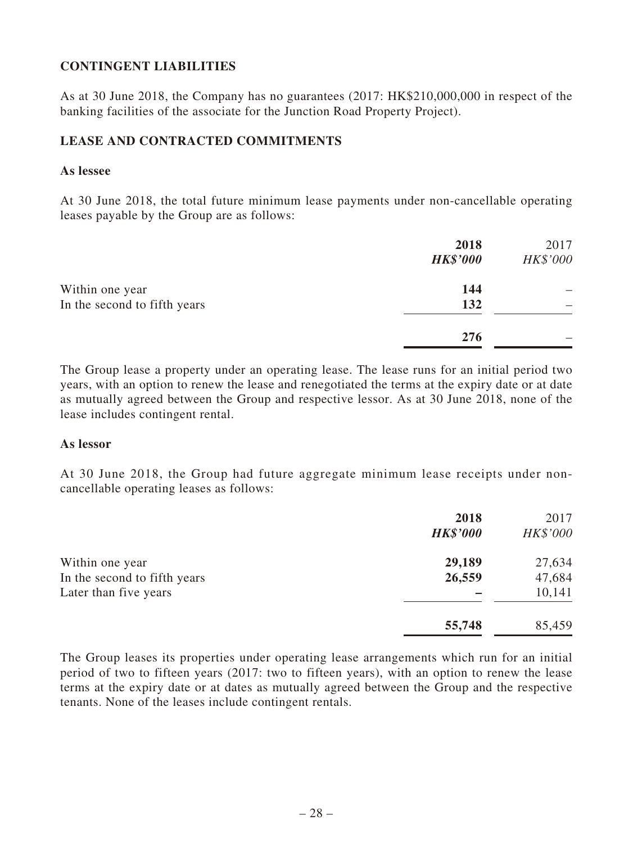### **CONTINGENT LIABILITIES**

As at 30 June 2018, the Company has no guarantees (2017: HK\$210,000,000 in respect of the banking facilities of the associate for the Junction Road Property Project).

### **LEASE AND CONTRACTED COMMITMENTS**

#### **As lessee**

At 30 June 2018, the total future minimum lease payments under non-cancellable operating leases payable by the Group are as follows:

|                                                 | 2018<br><b>HK\$'000</b> | 2017<br>HK\$'000 |
|-------------------------------------------------|-------------------------|------------------|
| Within one year<br>In the second to fifth years | 144<br>132              |                  |
|                                                 | 276                     |                  |

The Group lease a property under an operating lease. The lease runs for an initial period two years, with an option to renew the lease and renegotiated the terms at the expiry date or at date as mutually agreed between the Group and respective lessor. As at 30 June 2018, none of the lease includes contingent rental.

#### **As lessor**

At 30 June 2018, the Group had future aggregate minimum lease receipts under noncancellable operating leases as follows:

|                              | 2018<br><b>HK\$'000</b> | 2017<br>HK\$'000 |
|------------------------------|-------------------------|------------------|
| Within one year              | 29,189                  | 27,634           |
| In the second to fifth years | 26,559                  | 47,684           |
| Later than five years        |                         | 10,141           |
|                              | 55,748                  | 85,459           |

The Group leases its properties under operating lease arrangements which run for an initial period of two to fifteen years (2017: two to fifteen years), with an option to renew the lease terms at the expiry date or at dates as mutually agreed between the Group and the respective tenants. None of the leases include contingent rentals.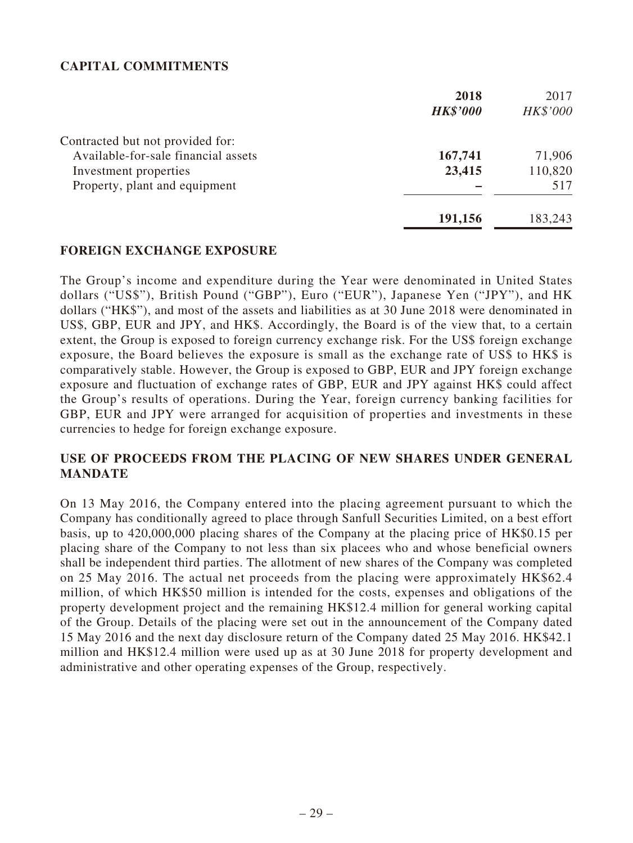### **CAPITAL COMMITMENTS**

|                                     | 2018            | 2017     |
|-------------------------------------|-----------------|----------|
|                                     | <b>HK\$'000</b> | HK\$'000 |
| Contracted but not provided for:    |                 |          |
| Available-for-sale financial assets | 167,741         | 71,906   |
| Investment properties               | 23,415          | 110,820  |
| Property, plant and equipment       |                 | 517      |
|                                     | 191,156         | 183,243  |

#### **FOREIGN EXCHANGE EXPOSURE**

The Group's income and expenditure during the Year were denominated in United States dollars ("US\$"), British Pound ("GBP"), Euro ("EUR"), Japanese Yen ("JPY"), and HK dollars ("HK\$"), and most of the assets and liabilities as at 30 June 2018 were denominated in US\$, GBP, EUR and JPY, and HK\$. Accordingly, the Board is of the view that, to a certain extent, the Group is exposed to foreign currency exchange risk. For the US\$ foreign exchange exposure, the Board believes the exposure is small as the exchange rate of US\$ to HK\$ is comparatively stable. However, the Group is exposed to GBP, EUR and JPY foreign exchange exposure and fluctuation of exchange rates of GBP, EUR and JPY against HK\$ could affect the Group's results of operations. During the Year, foreign currency banking facilities for GBP, EUR and JPY were arranged for acquisition of properties and investments in these currencies to hedge for foreign exchange exposure.

#### **USE OF PROCEEDS FROM THE PLACING OF NEW SHARES UNDER GENERAL MANDATE**

On 13 May 2016, the Company entered into the placing agreement pursuant to which the Company has conditionally agreed to place through Sanfull Securities Limited, on a best effort basis, up to 420,000,000 placing shares of the Company at the placing price of HK\$0.15 per placing share of the Company to not less than six placees who and whose beneficial owners shall be independent third parties. The allotment of new shares of the Company was completed on 25 May 2016. The actual net proceeds from the placing were approximately HK\$62.4 million, of which HK\$50 million is intended for the costs, expenses and obligations of the property development project and the remaining HK\$12.4 million for general working capital of the Group. Details of the placing were set out in the announcement of the Company dated 15 May 2016 and the next day disclosure return of the Company dated 25 May 2016. HK\$42.1 million and HK\$12.4 million were used up as at 30 June 2018 for property development and administrative and other operating expenses of the Group, respectively.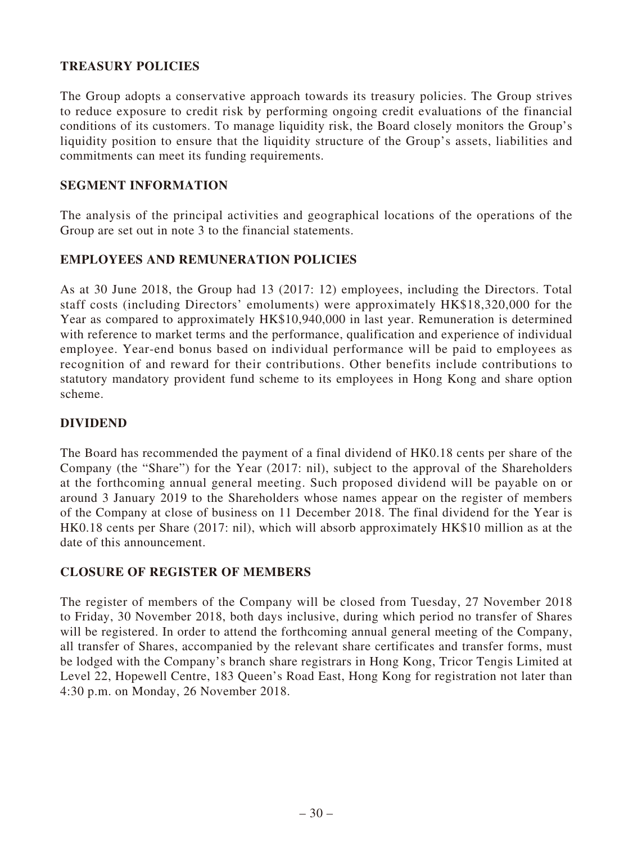### **TREASURY POLICIES**

The Group adopts a conservative approach towards its treasury policies. The Group strives to reduce exposure to credit risk by performing ongoing credit evaluations of the financial conditions of its customers. To manage liquidity risk, the Board closely monitors the Group's liquidity position to ensure that the liquidity structure of the Group's assets, liabilities and commitments can meet its funding requirements.

### **SEGMENT INFORMATION**

The analysis of the principal activities and geographical locations of the operations of the Group are set out in note 3 to the financial statements.

### **EMPLOYEES AND REMUNERATION POLICIES**

As at 30 June 2018, the Group had 13 (2017: 12) employees, including the Directors. Total staff costs (including Directors' emoluments) were approximately HK\$18,320,000 for the Year as compared to approximately HK\$10,940,000 in last year. Remuneration is determined with reference to market terms and the performance, qualification and experience of individual employee. Year-end bonus based on individual performance will be paid to employees as recognition of and reward for their contributions. Other benefits include contributions to statutory mandatory provident fund scheme to its employees in Hong Kong and share option scheme.

#### **DIVIDEND**

The Board has recommended the payment of a final dividend of HK0.18 cents per share of the Company (the "Share") for the Year (2017: nil), subject to the approval of the Shareholders at the forthcoming annual general meeting. Such proposed dividend will be payable on or around 3 January 2019 to the Shareholders whose names appear on the register of members of the Company at close of business on 11 December 2018. The final dividend for the Year is HK0.18 cents per Share (2017: nil), which will absorb approximately HK\$10 million as at the date of this announcement.

#### **CLOSURE OF REGISTER OF MEMBERS**

The register of members of the Company will be closed from Tuesday, 27 November 2018 to Friday, 30 November 2018, both days inclusive, during which period no transfer of Shares will be registered. In order to attend the forthcoming annual general meeting of the Company, all transfer of Shares, accompanied by the relevant share certificates and transfer forms, must be lodged with the Company's branch share registrars in Hong Kong, Tricor Tengis Limited at Level 22, Hopewell Centre, 183 Queen's Road East, Hong Kong for registration not later than 4:30 p.m. on Monday, 26 November 2018.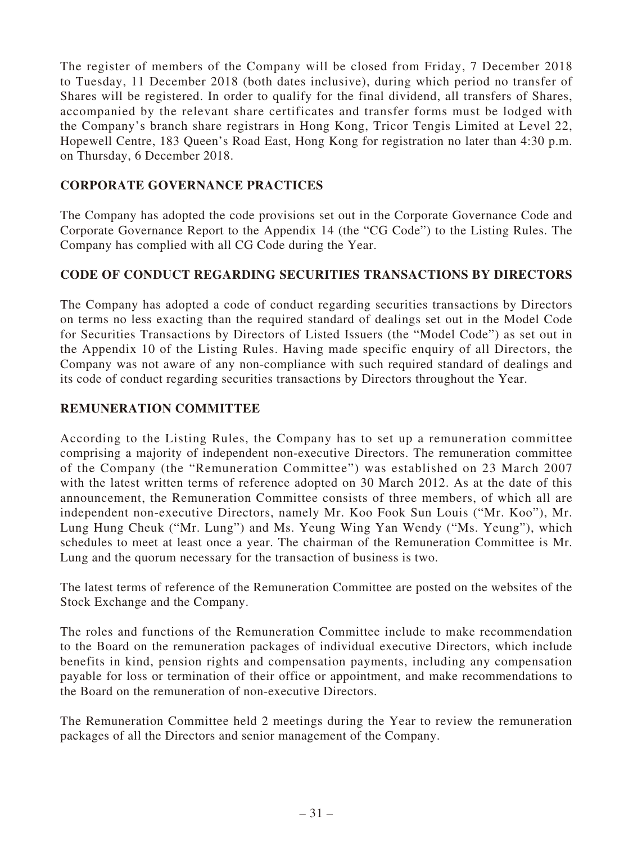The register of members of the Company will be closed from Friday, 7 December 2018 to Tuesday, 11 December 2018 (both dates inclusive), during which period no transfer of Shares will be registered. In order to qualify for the final dividend, all transfers of Shares, accompanied by the relevant share certificates and transfer forms must be lodged with the Company's branch share registrars in Hong Kong, Tricor Tengis Limited at Level 22, Hopewell Centre, 183 Queen's Road East, Hong Kong for registration no later than 4:30 p.m. on Thursday, 6 December 2018.

### **CORPORATE GOVERNANCE PRACTICES**

The Company has adopted the code provisions set out in the Corporate Governance Code and Corporate Governance Report to the Appendix 14 (the "CG Code") to the Listing Rules. The Company has complied with all CG Code during the Year.

### **CODE OF CONDUCT REGARDING SECURITIES TRANSACTIONS BY DIRECTORS**

The Company has adopted a code of conduct regarding securities transactions by Directors on terms no less exacting than the required standard of dealings set out in the Model Code for Securities Transactions by Directors of Listed Issuers (the "Model Code") as set out in the Appendix 10 of the Listing Rules. Having made specific enquiry of all Directors, the Company was not aware of any non-compliance with such required standard of dealings and its code of conduct regarding securities transactions by Directors throughout the Year.

### **REMUNERATION COMMITTEE**

According to the Listing Rules, the Company has to set up a remuneration committee comprising a majority of independent non-executive Directors. The remuneration committee of the Company (the "Remuneration Committee") was established on 23 March 2007 with the latest written terms of reference adopted on 30 March 2012. As at the date of this announcement, the Remuneration Committee consists of three members, of which all are independent non-executive Directors, namely Mr. Koo Fook Sun Louis ("Mr. Koo"), Mr. Lung Hung Cheuk ("Mr. Lung") and Ms. Yeung Wing Yan Wendy ("Ms. Yeung"), which schedules to meet at least once a year. The chairman of the Remuneration Committee is Mr. Lung and the quorum necessary for the transaction of business is two.

The latest terms of reference of the Remuneration Committee are posted on the websites of the Stock Exchange and the Company.

The roles and functions of the Remuneration Committee include to make recommendation to the Board on the remuneration packages of individual executive Directors, which include benefits in kind, pension rights and compensation payments, including any compensation payable for loss or termination of their office or appointment, and make recommendations to the Board on the remuneration of non-executive Directors.

The Remuneration Committee held 2 meetings during the Year to review the remuneration packages of all the Directors and senior management of the Company.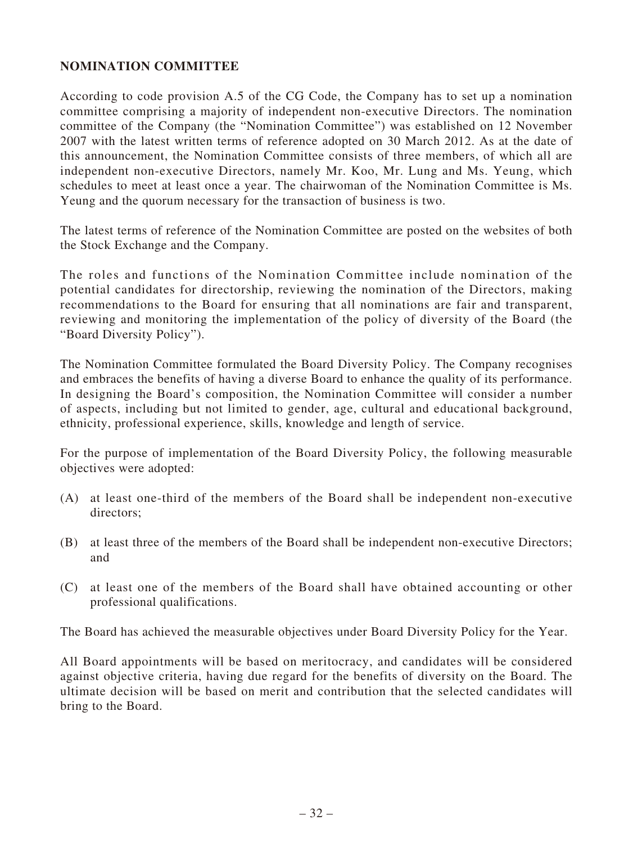### **NOMINATION COMMITTEE**

According to code provision A.5 of the CG Code, the Company has to set up a nomination committee comprising a majority of independent non-executive Directors. The nomination committee of the Company (the "Nomination Committee") was established on 12 November 2007 with the latest written terms of reference adopted on 30 March 2012. As at the date of this announcement, the Nomination Committee consists of three members, of which all are independent non-executive Directors, namely Mr. Koo, Mr. Lung and Ms. Yeung, which schedules to meet at least once a year. The chairwoman of the Nomination Committee is Ms. Yeung and the quorum necessary for the transaction of business is two.

The latest terms of reference of the Nomination Committee are posted on the websites of both the Stock Exchange and the Company.

The roles and functions of the Nomination Committee include nomination of the potential candidates for directorship, reviewing the nomination of the Directors, making recommendations to the Board for ensuring that all nominations are fair and transparent, reviewing and monitoring the implementation of the policy of diversity of the Board (the "Board Diversity Policy").

The Nomination Committee formulated the Board Diversity Policy. The Company recognises and embraces the benefits of having a diverse Board to enhance the quality of its performance. In designing the Board's composition, the Nomination Committee will consider a number of aspects, including but not limited to gender, age, cultural and educational background, ethnicity, professional experience, skills, knowledge and length of service.

For the purpose of implementation of the Board Diversity Policy, the following measurable objectives were adopted:

- (A) at least one-third of the members of the Board shall be independent non-executive directors;
- (B) at least three of the members of the Board shall be independent non-executive Directors; and
- (C) at least one of the members of the Board shall have obtained accounting or other professional qualifications.

The Board has achieved the measurable objectives under Board Diversity Policy for the Year.

All Board appointments will be based on meritocracy, and candidates will be considered against objective criteria, having due regard for the benefits of diversity on the Board. The ultimate decision will be based on merit and contribution that the selected candidates will bring to the Board.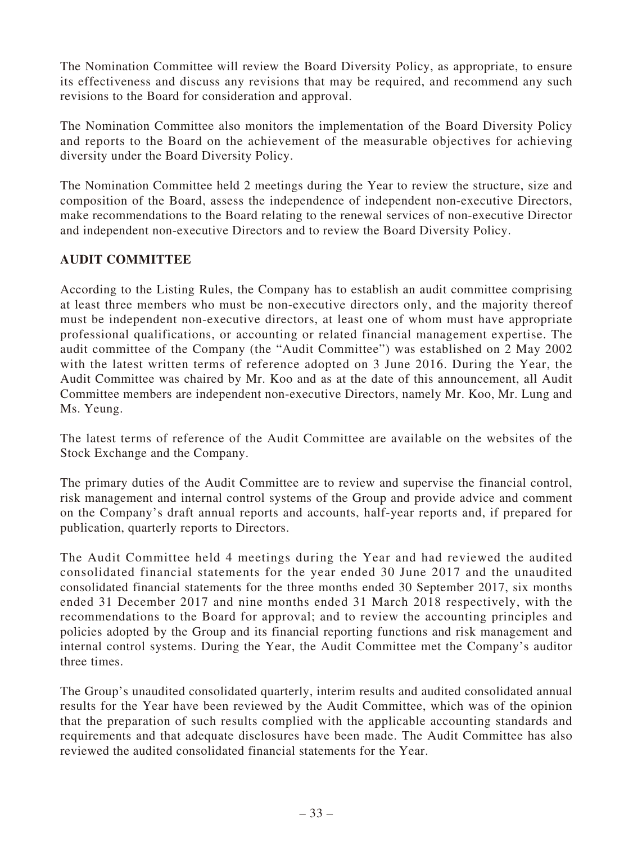The Nomination Committee will review the Board Diversity Policy, as appropriate, to ensure its effectiveness and discuss any revisions that may be required, and recommend any such revisions to the Board for consideration and approval.

The Nomination Committee also monitors the implementation of the Board Diversity Policy and reports to the Board on the achievement of the measurable objectives for achieving diversity under the Board Diversity Policy.

The Nomination Committee held 2 meetings during the Year to review the structure, size and composition of the Board, assess the independence of independent non-executive Directors, make recommendations to the Board relating to the renewal services of non-executive Director and independent non-executive Directors and to review the Board Diversity Policy.

### **AUDIT COMMITTEE**

According to the Listing Rules, the Company has to establish an audit committee comprising at least three members who must be non-executive directors only, and the majority thereof must be independent non-executive directors, at least one of whom must have appropriate professional qualifications, or accounting or related financial management expertise. The audit committee of the Company (the "Audit Committee") was established on 2 May 2002 with the latest written terms of reference adopted on 3 June 2016. During the Year, the Audit Committee was chaired by Mr. Koo and as at the date of this announcement, all Audit Committee members are independent non-executive Directors, namely Mr. Koo, Mr. Lung and Ms. Yeung.

The latest terms of reference of the Audit Committee are available on the websites of the Stock Exchange and the Company.

The primary duties of the Audit Committee are to review and supervise the financial control, risk management and internal control systems of the Group and provide advice and comment on the Company's draft annual reports and accounts, half-year reports and, if prepared for publication, quarterly reports to Directors.

The Audit Committee held 4 meetings during the Year and had reviewed the audited consolidated financial statements for the year ended 30 June 2017 and the unaudited consolidated financial statements for the three months ended 30 September 2017, six months ended 31 December 2017 and nine months ended 31 March 2018 respectively, with the recommendations to the Board for approval; and to review the accounting principles and policies adopted by the Group and its financial reporting functions and risk management and internal control systems. During the Year, the Audit Committee met the Company's auditor three times.

The Group's unaudited consolidated quarterly, interim results and audited consolidated annual results for the Year have been reviewed by the Audit Committee, which was of the opinion that the preparation of such results complied with the applicable accounting standards and requirements and that adequate disclosures have been made. The Audit Committee has also reviewed the audited consolidated financial statements for the Year.